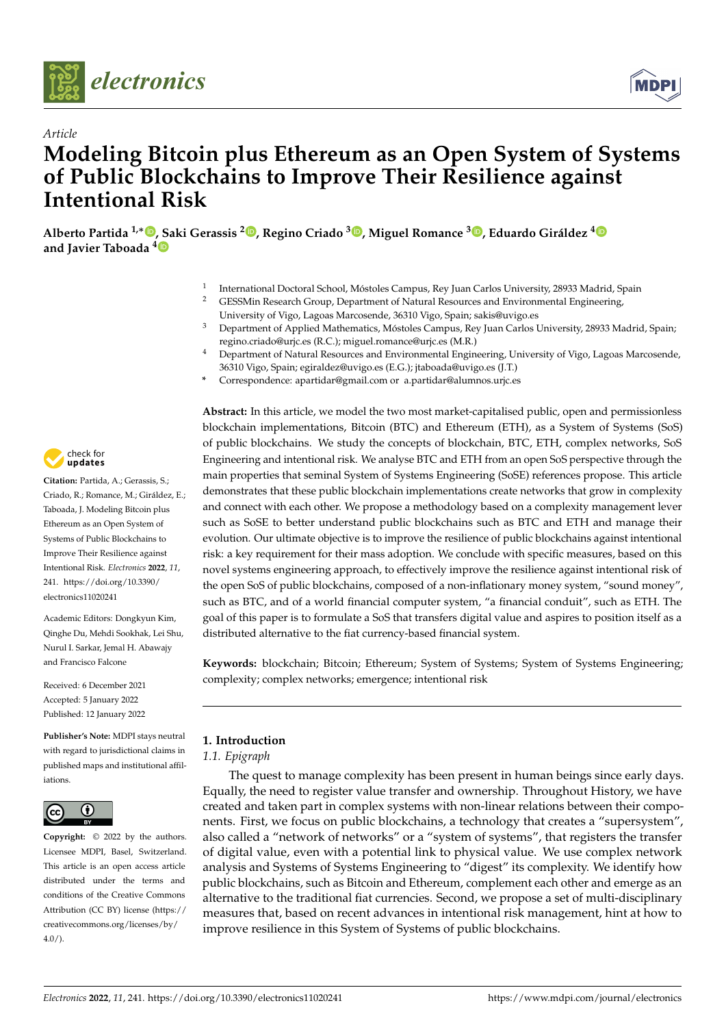



# *Article* **Modeling Bitcoin plus Ethereum as an Open System of Systems of Public Blockchains to Improve Their Resilience against Intentional Risk**

**Alberto Partida 1,**<sup>∗</sup> **[,](https://orcid.org/0000-0001-5586-0321) Saki Gerassis <sup>2</sup> [,](https://orcid.org/0000-0002-9249-6407) Regino Criado <sup>3</sup> [,](https://orcid.org/0000-0001-7954-6169) Miguel Romance <sup>3</sup> [,](https://orcid.org/0000-0001-9259-9716) Eduardo Giráldez [4](https://orcid.org/0000-0002-9115-0412) and Javier Taboada [4](https://orcid.org/0000-0002-9181-766X)**

- 1 International Doctoral School, Móstoles Campus, Rey Juan Carlos University, 28933 Madrid, Spain
- <sup>2</sup> GESSMin Research Group, Department of Natural Resources and Environmental Engineering, University of Vigo, Lagoas Marcosende, 36310 Vigo, Spain; sakis@uvigo.es
- <sup>3</sup> Department of Applied Mathematics, Móstoles Campus, Rey Juan Carlos University, 28933 Madrid, Spain; regino.criado@urjc.es (R.C.); miguel.romance@urjc.es (M.R.)
- <sup>4</sup> Department of Natural Resources and Environmental Engineering, University of Vigo, Lagoas Marcosende, 36310 Vigo, Spain; egiraldez@uvigo.es (E.G.); jtaboada@uvigo.es (J.T.)
- **\*** Correspondence: apartidar@gmail.com or a.partidar@alumnos.urjc.es



**Citation:** Partida, A.; Gerassis, S.; Criado, R.; Romance, M.; Giráldez, E.; Taboada, J. Modeling Bitcoin plus Ethereum as an Open System of Systems of Public Blockchains to Improve Their Resilience against Intentional Risk. *Electronics* **2022**, *11*, 241. [https://doi.org/10.3390/](https://doi.org/10.3390/electronics11020241) [electronics11020241](https://doi.org/10.3390/electronics11020241)

Academic Editors: Dongkyun Kim, Qinghe Du, Mehdi Sookhak, Lei Shu, Nurul I. Sarkar, Jemal H. Abawajy and Francisco Falcone

Received: 6 December 2021 Accepted: 5 January 2022 Published: 12 January 2022

**Publisher's Note:** MDPI stays neutral with regard to jurisdictional claims in published maps and institutional affiliations.



**Copyright:** © 2022 by the authors. Licensee MDPI, Basel, Switzerland. This article is an open access article distributed under the terms and conditions of the Creative Commons Attribution (CC BY) license [\(https://](https://creativecommons.org/licenses/by/4.0/) [creativecommons.org/licenses/by/](https://creativecommons.org/licenses/by/4.0/)  $4.0/$ ).

**Abstract:** In this article, we model the two most market-capitalised public, open and permissionless blockchain implementations, Bitcoin (BTC) and Ethereum (ETH), as a System of Systems (SoS) of public blockchains. We study the concepts of blockchain, BTC, ETH, complex networks, SoS Engineering and intentional risk. We analyse BTC and ETH from an open SoS perspective through the main properties that seminal System of Systems Engineering (SoSE) references propose. This article demonstrates that these public blockchain implementations create networks that grow in complexity and connect with each other. We propose a methodology based on a complexity management lever such as SoSE to better understand public blockchains such as BTC and ETH and manage their evolution. Our ultimate objective is to improve the resilience of public blockchains against intentional risk: a key requirement for their mass adoption. We conclude with specific measures, based on this novel systems engineering approach, to effectively improve the resilience against intentional risk of the open SoS of public blockchains, composed of a non-inflationary money system, "sound money", such as BTC, and of a world financial computer system, "a financial conduit", such as ETH. The goal of this paper is to formulate a SoS that transfers digital value and aspires to position itself as a distributed alternative to the fiat currency-based financial system.

**Keywords:** blockchain; Bitcoin; Ethereum; System of Systems; System of Systems Engineering; complexity; complex networks; emergence; intentional risk

# **1. Introduction**

*1.1. Epigraph*

The quest to manage complexity has been present in human beings since early days. Equally, the need to register value transfer and ownership. Throughout History, we have created and taken part in complex systems with non-linear relations between their components. First, we focus on public blockchains, a technology that creates a "supersystem", also called a "network of networks" or a "system of systems", that registers the transfer of digital value, even with a potential link to physical value. We use complex network analysis and Systems of Systems Engineering to "digest" its complexity. We identify how public blockchains, such as Bitcoin and Ethereum, complement each other and emerge as an alternative to the traditional fiat currencies. Second, we propose a set of multi-disciplinary measures that, based on recent advances in intentional risk management, hint at how to improve resilience in this System of Systems of public blockchains.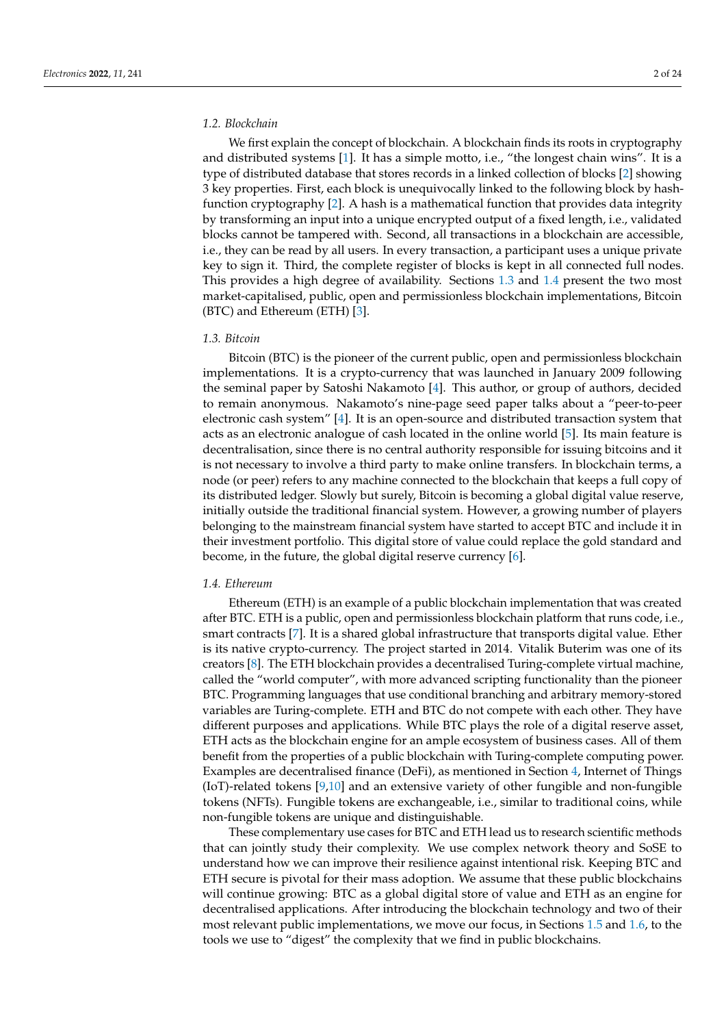#### *1.2. Blockchain*

We first explain the concept of blockchain. A blockchain finds its roots in cryptography and distributed systems [\[1\]](#page-20-0). It has a simple motto, i.e., "the longest chain wins". It is a type of distributed database that stores records in a linked collection of blocks [\[2\]](#page-20-1) showing 3 key properties. First, each block is unequivocally linked to the following block by hashfunction cryptography [\[2\]](#page-20-1). A hash is a mathematical function that provides data integrity by transforming an input into a unique encrypted output of a fixed length, i.e., validated blocks cannot be tampered with. Second, all transactions in a blockchain are accessible, i.e., they can be read by all users. In every transaction, a participant uses a unique private key to sign it. Third, the complete register of blocks is kept in all connected full nodes. This provides a high degree of availability. Sections [1.3](#page-1-0) and [1.4](#page-1-1) present the two most market-capitalised, public, open and permissionless blockchain implementations, Bitcoin (BTC) and Ethereum (ETH) [\[3\]](#page-20-2).

### <span id="page-1-0"></span>*1.3. Bitcoin*

Bitcoin (BTC) is the pioneer of the current public, open and permissionless blockchain implementations. It is a crypto-currency that was launched in January 2009 following the seminal paper by Satoshi Nakamoto [\[4\]](#page-20-3). This author, or group of authors, decided to remain anonymous. Nakamoto's nine-page seed paper talks about a "peer-to-peer electronic cash system" [\[4\]](#page-20-3). It is an open-source and distributed transaction system that acts as an electronic analogue of cash located in the online world [\[5\]](#page-20-4). Its main feature is decentralisation, since there is no central authority responsible for issuing bitcoins and it is not necessary to involve a third party to make online transfers. In blockchain terms, a node (or peer) refers to any machine connected to the blockchain that keeps a full copy of its distributed ledger. Slowly but surely, Bitcoin is becoming a global digital value reserve, initially outside the traditional financial system. However, a growing number of players belonging to the mainstream financial system have started to accept BTC and include it in their investment portfolio. This digital store of value could replace the gold standard and become, in the future, the global digital reserve currency [\[6\]](#page-20-5).

#### <span id="page-1-1"></span>*1.4. Ethereum*

Ethereum (ETH) is an example of a public blockchain implementation that was created after BTC. ETH is a public, open and permissionless blockchain platform that runs code, i.e., smart contracts [\[7\]](#page-20-6). It is a shared global infrastructure that transports digital value. Ether is its native crypto-currency. The project started in 2014. Vitalik Buterim was one of its creators [\[8\]](#page-20-7). The ETH blockchain provides a decentralised Turing-complete virtual machine, called the "world computer", with more advanced scripting functionality than the pioneer BTC. Programming languages that use conditional branching and arbitrary memory-stored variables are Turing-complete. ETH and BTC do not compete with each other. They have different purposes and applications. While BTC plays the role of a digital reserve asset, ETH acts as the blockchain engine for an ample ecosystem of business cases. All of them benefit from the properties of a public blockchain with Turing-complete computing power. Examples are decentralised finance (DeFi), as mentioned in Section [4,](#page-9-0) Internet of Things (IoT)-related tokens [\[9,](#page-20-8)[10\]](#page-20-9) and an extensive variety of other fungible and non-fungible tokens (NFTs). Fungible tokens are exchangeable, i.e., similar to traditional coins, while non-fungible tokens are unique and distinguishable.

These complementary use cases for BTC and ETH lead us to research scientific methods that can jointly study their complexity. We use complex network theory and SoSE to understand how we can improve their resilience against intentional risk. Keeping BTC and ETH secure is pivotal for their mass adoption. We assume that these public blockchains will continue growing: BTC as a global digital store of value and ETH as an engine for decentralised applications. After introducing the blockchain technology and two of their most relevant public implementations, we move our focus, in Sections [1.5](#page-2-0) and [1.6,](#page-2-1) to the tools we use to "digest" the complexity that we find in public blockchains.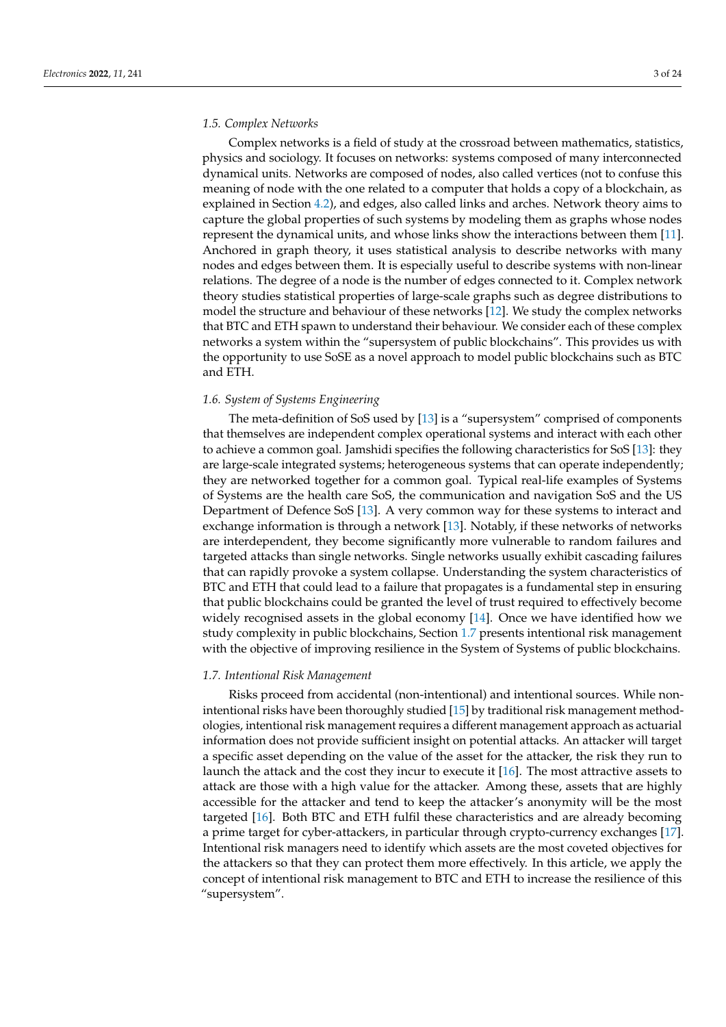#### <span id="page-2-0"></span>*1.5. Complex Networks*

Complex networks is a field of study at the crossroad between mathematics, statistics, physics and sociology. It focuses on networks: systems composed of many interconnected dynamical units. Networks are composed of nodes, also called vertices (not to confuse this meaning of node with the one related to a computer that holds a copy of a blockchain, as explained in Section [4.2\)](#page-9-1), and edges, also called links and arches. Network theory aims to capture the global properties of such systems by modeling them as graphs whose nodes represent the dynamical units, and whose links show the interactions between them [\[11\]](#page-20-10). Anchored in graph theory, it uses statistical analysis to describe networks with many nodes and edges between them. It is especially useful to describe systems with non-linear relations. The degree of a node is the number of edges connected to it. Complex network theory studies statistical properties of large-scale graphs such as degree distributions to model the structure and behaviour of these networks [\[12\]](#page-20-11). We study the complex networks that BTC and ETH spawn to understand their behaviour. We consider each of these complex networks a system within the "supersystem of public blockchains". This provides us with the opportunity to use SoSE as a novel approach to model public blockchains such as BTC and ETH.

#### <span id="page-2-1"></span>*1.6. System of Systems Engineering*

The meta-definition of SoS used by [\[13\]](#page-20-12) is a "supersystem" comprised of components that themselves are independent complex operational systems and interact with each other to achieve a common goal. Jamshidi specifies the following characteristics for SoS [\[13\]](#page-20-12): they are large-scale integrated systems; heterogeneous systems that can operate independently; they are networked together for a common goal. Typical real-life examples of Systems of Systems are the health care SoS, the communication and navigation SoS and the US Department of Defence SoS [\[13\]](#page-20-12). A very common way for these systems to interact and exchange information is through a network [\[13\]](#page-20-12). Notably, if these networks of networks are interdependent, they become significantly more vulnerable to random failures and targeted attacks than single networks. Single networks usually exhibit cascading failures that can rapidly provoke a system collapse. Understanding the system characteristics of BTC and ETH that could lead to a failure that propagates is a fundamental step in ensuring that public blockchains could be granted the level of trust required to effectively become widely recognised assets in the global economy  $[14]$ . Once we have identified how we study complexity in public blockchains, Section [1.7](#page-2-2) presents intentional risk management with the objective of improving resilience in the System of Systems of public blockchains.

#### <span id="page-2-2"></span>*1.7. Intentional Risk Management*

Risks proceed from accidental (non-intentional) and intentional sources. While nonintentional risks have been thoroughly studied [\[15\]](#page-20-14) by traditional risk management methodologies, intentional risk management requires a different management approach as actuarial information does not provide sufficient insight on potential attacks. An attacker will target a specific asset depending on the value of the asset for the attacker, the risk they run to launch the attack and the cost they incur to execute it [\[16\]](#page-20-15). The most attractive assets to attack are those with a high value for the attacker. Among these, assets that are highly accessible for the attacker and tend to keep the attacker's anonymity will be the most targeted [\[16\]](#page-20-15). Both BTC and ETH fulfil these characteristics and are already becoming a prime target for cyber-attackers, in particular through crypto-currency exchanges [\[17\]](#page-20-16). Intentional risk managers need to identify which assets are the most coveted objectives for the attackers so that they can protect them more effectively. In this article, we apply the concept of intentional risk management to BTC and ETH to increase the resilience of this "supersystem".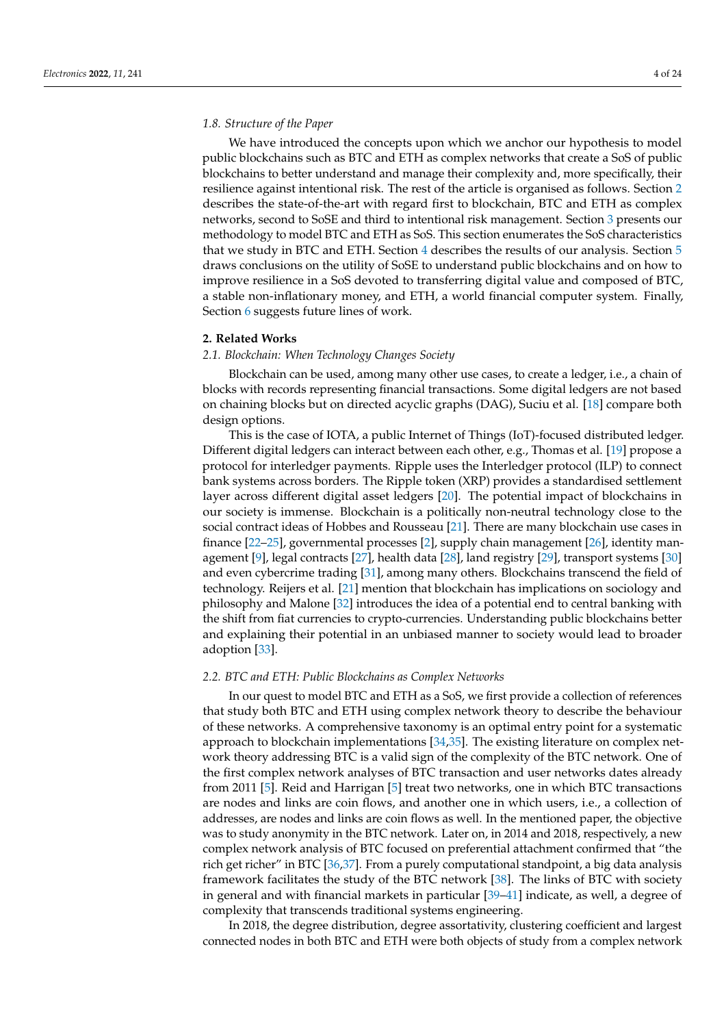### *1.8. Structure of the Paper*

We have introduced the concepts upon which we anchor our hypothesis to model public blockchains such as BTC and ETH as complex networks that create a SoS of public blockchains to better understand and manage their complexity and, more specifically, their resilience against intentional risk. The rest of the article is organised as follows. Section [2](#page-3-0) describes the state-of-the-art with regard first to blockchain, BTC and ETH as complex networks, second to SoSE and third to intentional risk management. Section [3](#page-7-0) presents our methodology to model BTC and ETH as SoS. This section enumerates the SoS characteristics that we study in BTC and ETH. Section [4](#page-9-0) describes the results of our analysis. Section [5](#page-18-0) draws conclusions on the utility of SoSE to understand public blockchains and on how to improve resilience in a SoS devoted to transferring digital value and composed of BTC, a stable non-inflationary money, and ETH, a world financial computer system. Finally, Section [6](#page-19-0) suggests future lines of work.

# <span id="page-3-0"></span>**2. Related Works**

# *2.1. Blockchain: When Technology Changes Society*

Blockchain can be used, among many other use cases, to create a ledger, i.e., a chain of blocks with records representing financial transactions. Some digital ledgers are not based on chaining blocks but on directed acyclic graphs (DAG), Suciu et al. [\[18\]](#page-20-17) compare both design options.

This is the case of IOTA, a public Internet of Things (IoT)-focused distributed ledger. Different digital ledgers can interact between each other, e.g., Thomas et al. [\[19\]](#page-20-18) propose a protocol for interledger payments. Ripple uses the Interledger protocol (ILP) to connect bank systems across borders. The Ripple token (XRP) provides a standardised settlement layer across different digital asset ledgers [\[20\]](#page-20-19). The potential impact of blockchains in our society is immense. Blockchain is a politically non-neutral technology close to the social contract ideas of Hobbes and Rousseau [\[21\]](#page-20-20). There are many blockchain use cases in finance [\[22–](#page-20-21)[25\]](#page-20-22), governmental processes [\[2\]](#page-20-1), supply chain management [\[26\]](#page-20-23), identity management [\[9\]](#page-20-8), legal contracts [\[27\]](#page-20-24), health data [\[28\]](#page-20-25), land registry [\[29\]](#page-20-26), transport systems [\[30\]](#page-20-27) and even cybercrime trading [\[31\]](#page-21-0), among many others. Blockchains transcend the field of technology. Reijers et al. [\[21\]](#page-20-20) mention that blockchain has implications on sociology and philosophy and Malone [\[32\]](#page-21-1) introduces the idea of a potential end to central banking with the shift from fiat currencies to crypto-currencies. Understanding public blockchains better and explaining their potential in an unbiased manner to society would lead to broader adoption [\[33\]](#page-21-2).

## <span id="page-3-1"></span>*2.2. BTC and ETH: Public Blockchains as Complex Networks*

In our quest to model BTC and ETH as a SoS, we first provide a collection of references that study both BTC and ETH using complex network theory to describe the behaviour of these networks. A comprehensive taxonomy is an optimal entry point for a systematic approach to blockchain implementations [\[34,](#page-21-3)[35\]](#page-21-4). The existing literature on complex network theory addressing BTC is a valid sign of the complexity of the BTC network. One of the first complex network analyses of BTC transaction and user networks dates already from 2011 [\[5\]](#page-20-4). Reid and Harrigan [\[5\]](#page-20-4) treat two networks, one in which BTC transactions are nodes and links are coin flows, and another one in which users, i.e., a collection of addresses, are nodes and links are coin flows as well. In the mentioned paper, the objective was to study anonymity in the BTC network. Later on, in 2014 and 2018, respectively, a new complex network analysis of BTC focused on preferential attachment confirmed that "the rich get richer" in BTC [\[36](#page-21-5)[,37\]](#page-21-6). From a purely computational standpoint, a big data analysis framework facilitates the study of the BTC network [\[38\]](#page-21-7). The links of BTC with society in general and with financial markets in particular [\[39](#page-21-8)[–41\]](#page-21-9) indicate, as well, a degree of complexity that transcends traditional systems engineering.

In 2018, the degree distribution, degree assortativity, clustering coefficient and largest connected nodes in both BTC and ETH were both objects of study from a complex network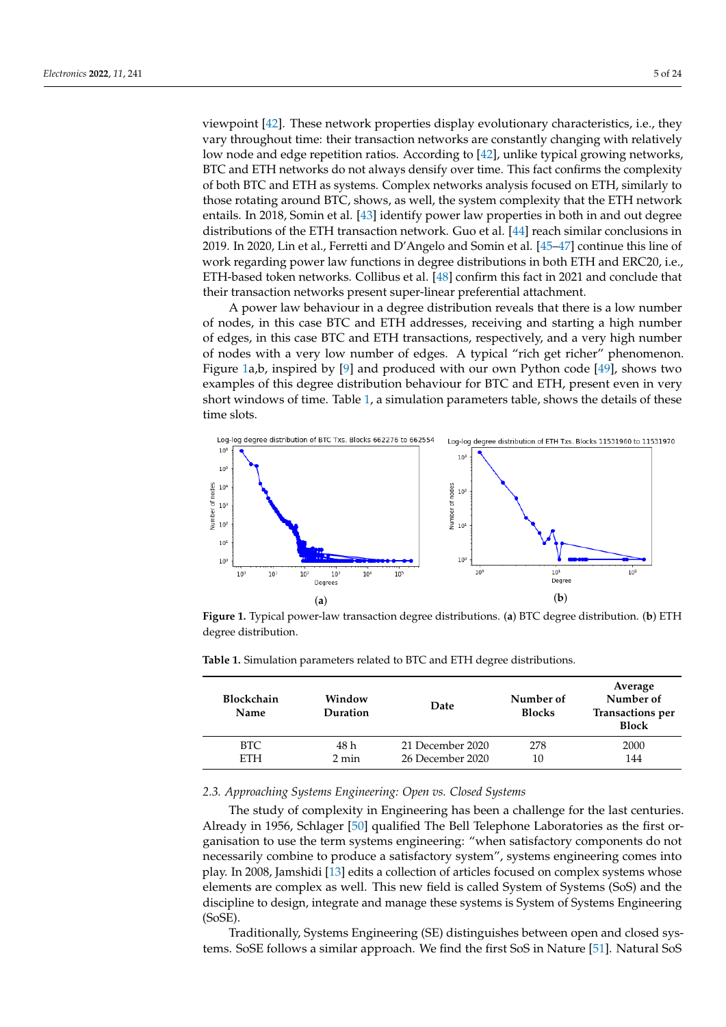viewpoint [\[42\]](#page-21-10). These network properties display evolutionary characteristics, i.e., they vary throughout time: their transaction networks are constantly changing with relatively low node and edge repetition ratios. According to [\[42\]](#page-21-10), unlike typical growing networks, BTC and ETH networks do not always densify over time. This fact confirms the complexity of both BTC and ETH as systems. Complex networks analysis focused on ETH, similarly to those rotating around BTC, shows, as well, the system complexity that the ETH network entails. In 2018, Somin et al. [\[43\]](#page-21-11) identify power law properties in both in and out degree distributions of the ETH transaction network. Guo et al. [\[44\]](#page-21-12) reach similar conclusions in 2019. In 2020, Lin et al., Ferretti and D'Angelo and Somin et al. [\[45](#page-21-13)[–47\]](#page-21-14) continue this line of work regarding power law functions in degree distributions in both ETH and ERC20, i.e., ETH-based token networks. Collibus et al. [\[48\]](#page-21-15) confirm this fact in 2021 and conclude that their transaction networks present super-linear preferential attachment.

A power law behaviour in a degree distribution reveals that there is a low number of nodes, in this case BTC and ETH addresses, receiving and starting a high number of edges, in this case BTC and ETH transactions, respectively, and a very high number of nodes with a very low number of edges. A typical "rich get richer" phenomenon. Figure [1a](#page-4-0),b, inspired by [\[9\]](#page-20-8) and produced with our own Python code [\[49\]](#page-21-16), shows two examples of this degree distribution behaviour for BTC and ETH, present even in very short windows of time. Table [1,](#page-4-1) a simulation parameters table, shows the details of these time slots.

<span id="page-4-0"></span>

**Figure 1.** Typical power-law transaction degree distributions. (**a**) BTC degree distribution. (**b**) ETH degree distribution.

| <b>Blockchain</b><br><b>Name</b> | Window<br>Duration | Date             | Number of<br><b>Blocks</b> | Average<br>Number of<br><b>Transactions per</b><br><b>Block</b> |
|----------------------------------|--------------------|------------------|----------------------------|-----------------------------------------------------------------|
| BTC.                             | 48 h               | 21 December 2020 | 278                        | 2000                                                            |
| <b>ETH</b>                       | $2 \text{ min}$    | 26 December 2020 | 10                         | 144                                                             |

<span id="page-4-1"></span>**Table 1.** Simulation parameters related to BTC and ETH degree distributions.

#### *2.3. Approaching Systems Engineering: Open vs. Closed Systems*

The study of complexity in Engineering has been a challenge for the last centuries. Already in 1956, Schlager [\[50\]](#page-21-17) qualified The Bell Telephone Laboratories as the first organisation to use the term systems engineering: "when satisfactory components do not necessarily combine to produce a satisfactory system", systems engineering comes into play. In 2008, Jamshidi [\[13\]](#page-20-12) edits a collection of articles focused on complex systems whose elements are complex as well. This new field is called System of Systems (SoS) and the discipline to design, integrate and manage these systems is System of Systems Engineering (SoSE).

Traditionally, Systems Engineering (SE) distinguishes between open and closed systems. SoSE follows a similar approach. We find the first SoS in Nature [\[51\]](#page-21-18). Natural SoS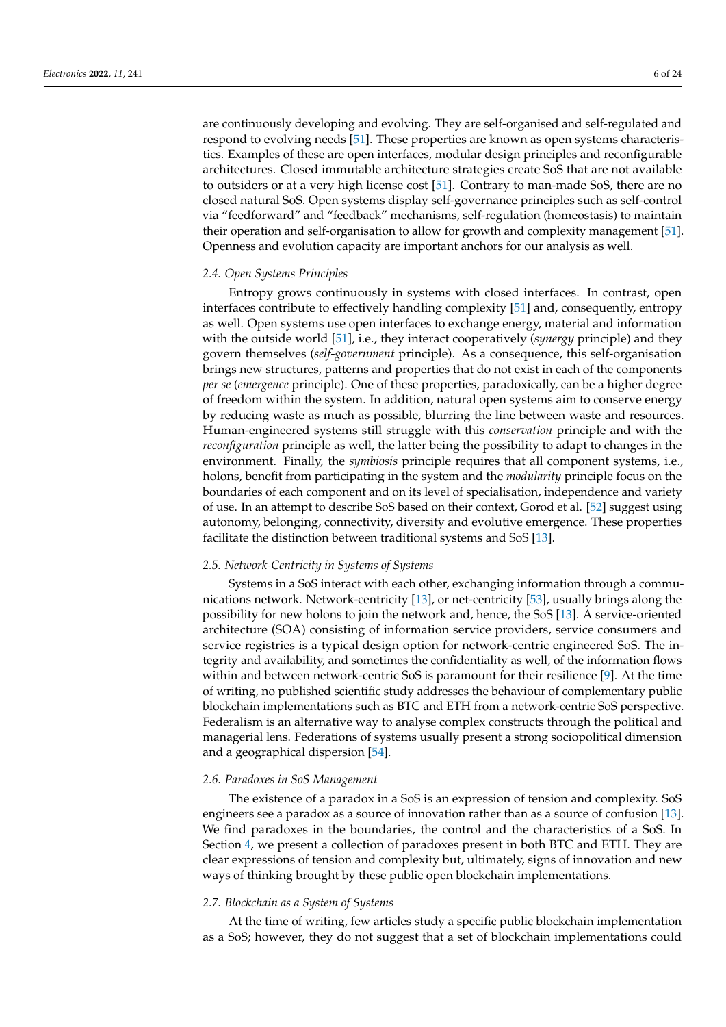are continuously developing and evolving. They are self-organised and self-regulated and respond to evolving needs [\[51\]](#page-21-18). These properties are known as open systems characteristics. Examples of these are open interfaces, modular design principles and reconfigurable architectures. Closed immutable architecture strategies create SoS that are not available to outsiders or at a very high license cost [\[51\]](#page-21-18). Contrary to man-made SoS, there are no closed natural SoS. Open systems display self-governance principles such as self-control via "feedforward" and "feedback" mechanisms, self-regulation (homeostasis) to maintain their operation and self-organisation to allow for growth and complexity management [\[51\]](#page-21-18). Openness and evolution capacity are important anchors for our analysis as well.

#### <span id="page-5-0"></span>*2.4. Open Systems Principles*

Entropy grows continuously in systems with closed interfaces. In contrast, open interfaces contribute to effectively handling complexity [\[51\]](#page-21-18) and, consequently, entropy as well. Open systems use open interfaces to exchange energy, material and information with the outside world [\[51\]](#page-21-18), i.e., they interact cooperatively (*synergy* principle) and they govern themselves (*self-government* principle). As a consequence, this self-organisation brings new structures, patterns and properties that do not exist in each of the components *per se* (*emergence* principle). One of these properties, paradoxically, can be a higher degree of freedom within the system. In addition, natural open systems aim to conserve energy by reducing waste as much as possible, blurring the line between waste and resources. Human-engineered systems still struggle with this *conservation* principle and with the *reconfiguration* principle as well, the latter being the possibility to adapt to changes in the environment. Finally, the *symbiosis* principle requires that all component systems, i.e., holons, benefit from participating in the system and the *modularity* principle focus on the boundaries of each component and on its level of specialisation, independence and variety of use. In an attempt to describe SoS based on their context, Gorod et al. [\[52\]](#page-21-19) suggest using autonomy, belonging, connectivity, diversity and evolutive emergence. These properties facilitate the distinction between traditional systems and SoS [\[13\]](#page-20-12).

# *2.5. Network-Centricity in Systems of Systems*

Systems in a SoS interact with each other, exchanging information through a communications network. Network-centricity [\[13\]](#page-20-12), or net-centricity [\[53\]](#page-21-20), usually brings along the possibility for new holons to join the network and, hence, the SoS [\[13\]](#page-20-12). A service-oriented architecture (SOA) consisting of information service providers, service consumers and service registries is a typical design option for network-centric engineered SoS. The integrity and availability, and sometimes the confidentiality as well, of the information flows within and between network-centric SoS is paramount for their resilience [\[9\]](#page-20-8). At the time of writing, no published scientific study addresses the behaviour of complementary public blockchain implementations such as BTC and ETH from a network-centric SoS perspective. Federalism is an alternative way to analyse complex constructs through the political and managerial lens. Federations of systems usually present a strong sociopolitical dimension and a geographical dispersion [\[54\]](#page-21-21).

# *2.6. Paradoxes in SoS Management*

The existence of a paradox in a SoS is an expression of tension and complexity. SoS engineers see a paradox as a source of innovation rather than as a source of confusion [\[13\]](#page-20-12). We find paradoxes in the boundaries, the control and the characteristics of a SoS. In Section [4,](#page-9-0) we present a collection of paradoxes present in both BTC and ETH. They are clear expressions of tension and complexity but, ultimately, signs of innovation and new ways of thinking brought by these public open blockchain implementations.

#### *2.7. Blockchain as a System of Systems*

At the time of writing, few articles study a specific public blockchain implementation as a SoS; however, they do not suggest that a set of blockchain implementations could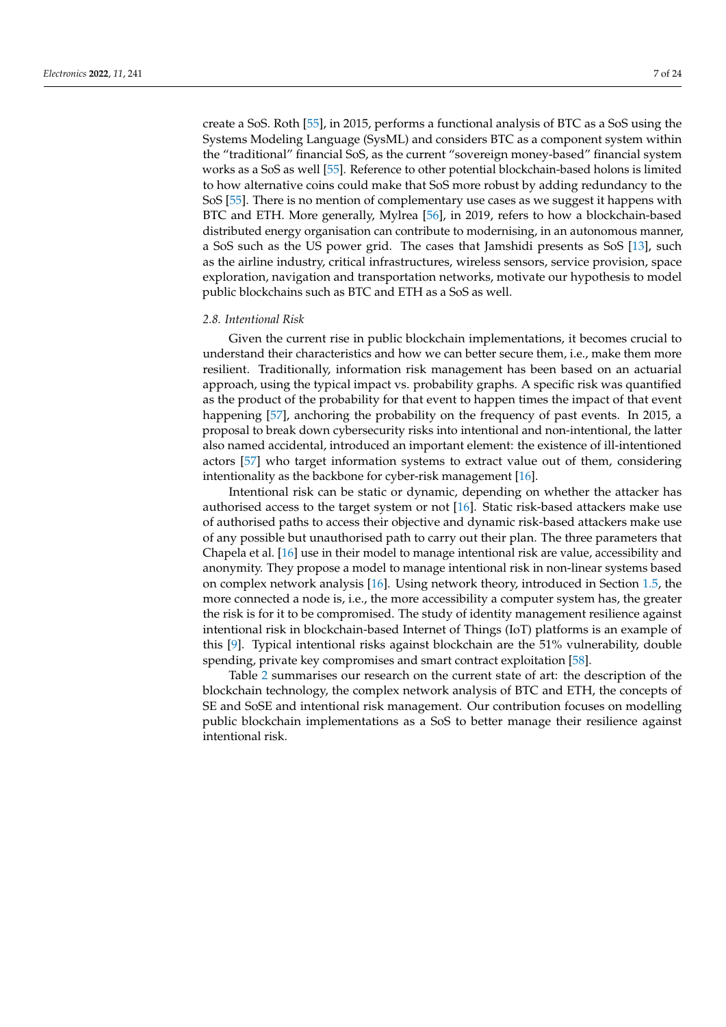create a SoS. Roth [\[55\]](#page-21-22), in 2015, performs a functional analysis of BTC as a SoS using the Systems Modeling Language (SysML) and considers BTC as a component system within the "traditional" financial SoS, as the current "sovereign money-based" financial system works as a SoS as well [\[55\]](#page-21-22). Reference to other potential blockchain-based holons is limited to how alternative coins could make that SoS more robust by adding redundancy to the SoS [\[55\]](#page-21-22). There is no mention of complementary use cases as we suggest it happens with BTC and ETH. More generally, Mylrea [\[56\]](#page-21-23), in 2019, refers to how a blockchain-based distributed energy organisation can contribute to modernising, in an autonomous manner, a SoS such as the US power grid. The cases that Jamshidi presents as SoS [\[13\]](#page-20-12), such as the airline industry, critical infrastructures, wireless sensors, service provision, space exploration, navigation and transportation networks, motivate our hypothesis to model public blockchains such as BTC and ETH as a SoS as well.

#### *2.8. Intentional Risk*

Given the current rise in public blockchain implementations, it becomes crucial to understand their characteristics and how we can better secure them, i.e., make them more resilient. Traditionally, information risk management has been based on an actuarial approach, using the typical impact vs. probability graphs. A specific risk was quantified as the product of the probability for that event to happen times the impact of that event happening [\[57\]](#page-22-0), anchoring the probability on the frequency of past events. In 2015, a proposal to break down cybersecurity risks into intentional and non-intentional, the latter also named accidental, introduced an important element: the existence of ill-intentioned actors [\[57\]](#page-22-0) who target information systems to extract value out of them, considering intentionality as the backbone for cyber-risk management [\[16\]](#page-20-15).

Intentional risk can be static or dynamic, depending on whether the attacker has authorised access to the target system or not [\[16\]](#page-20-15). Static risk-based attackers make use of authorised paths to access their objective and dynamic risk-based attackers make use of any possible but unauthorised path to carry out their plan. The three parameters that Chapela et al. [\[16\]](#page-20-15) use in their model to manage intentional risk are value, accessibility and anonymity. They propose a model to manage intentional risk in non-linear systems based on complex network analysis [\[16\]](#page-20-15). Using network theory, introduced in Section [1.5,](#page-2-0) the more connected a node is, i.e., the more accessibility a computer system has, the greater the risk is for it to be compromised. The study of identity management resilience against intentional risk in blockchain-based Internet of Things (IoT) platforms is an example of this [\[9\]](#page-20-8). Typical intentional risks against blockchain are the 51% vulnerability, double spending, private key compromises and smart contract exploitation [\[58\]](#page-22-1).

Table [2](#page-7-1) summarises our research on the current state of art: the description of the blockchain technology, the complex network analysis of BTC and ETH, the concepts of SE and SoSE and intentional risk management. Our contribution focuses on modelling public blockchain implementations as a SoS to better manage their resilience against intentional risk.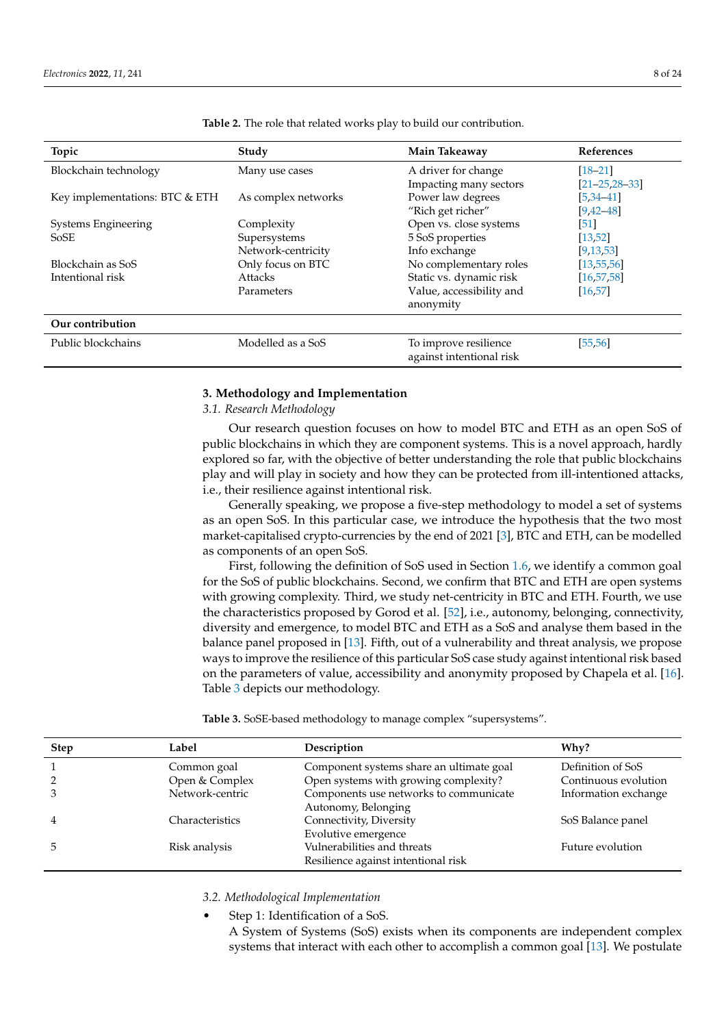| Topic                          | Study               | <b>Main Takeaway</b>                              | <b>References</b>    |
|--------------------------------|---------------------|---------------------------------------------------|----------------------|
| Blockchain technology          | Many use cases      | A driver for change                               | $[18 - 21]$          |
|                                |                     | Impacting many sectors                            | $[21 - 25, 28 - 33]$ |
| Key implementations: BTC & ETH | As complex networks | Power law degrees                                 | $[5, 34 - 41]$       |
|                                |                     | "Rich get richer"                                 | $[9,42-48]$          |
| Systems Engineering            | Complexity          | Open vs. close systems                            | [51]                 |
| SoSE                           | Supersystems        | 5 SoS properties                                  | [13, 52]             |
|                                | Network-centricity  | Info exchange                                     | [9, 13, 53]          |
| Blockchain as SoS              | Only focus on BTC   | No complementary roles                            | [13, 55, 56]         |
| Intentional risk               | Attacks             | Static vs. dynamic risk                           | [16, 57, 58]         |
|                                | Parameters          | Value, accessibility and                          | [16, 57]             |
|                                |                     | anonymity                                         |                      |
| Our contribution               |                     |                                                   |                      |
| Public blockchains             | Modelled as a SoS   | To improve resilience<br>against intentional risk | [55, 56]             |

<span id="page-7-1"></span>**Table 2.** The role that related works play to build our contribution.

# <span id="page-7-0"></span>**3. Methodology and Implementation**

*3.1. Research Methodology*

Our research question focuses on how to model BTC and ETH as an open SoS of public blockchains in which they are component systems. This is a novel approach, hardly explored so far, with the objective of better understanding the role that public blockchains play and will play in society and how they can be protected from ill-intentioned attacks, i.e., their resilience against intentional risk.

Generally speaking, we propose a five-step methodology to model a set of systems as an open SoS. In this particular case, we introduce the hypothesis that the two most market-capitalised crypto-currencies by the end of 2021 [\[3\]](#page-20-2), BTC and ETH, can be modelled as components of an open SoS.

First, following the definition of SoS used in Section [1.6,](#page-2-1) we identify a common goal for the SoS of public blockchains. Second, we confirm that BTC and ETH are open systems with growing complexity. Third, we study net-centricity in BTC and ETH. Fourth, we use the characteristics proposed by Gorod et al. [\[52\]](#page-21-19), i.e., autonomy, belonging, connectivity, diversity and emergence, to model BTC and ETH as a SoS and analyse them based in the balance panel proposed in [\[13\]](#page-20-12). Fifth, out of a vulnerability and threat analysis, we propose ways to improve the resilience of this particular SoS case study against intentional risk based on the parameters of value, accessibility and anonymity proposed by Chapela et al. [\[16\]](#page-20-15). Table [3](#page-7-2) depicts our methodology.

| <b>Step</b> | Label           | Description                              | Why?                 |
|-------------|-----------------|------------------------------------------|----------------------|
|             | Common goal     | Component systems share an ultimate goal | Definition of SoS    |
| 2           | Open & Complex  | Open systems with growing complexity?    | Continuous evolution |
| 3           | Network-centric | Components use networks to communicate   | Information exchange |
|             |                 | Autonomy, Belonging                      |                      |
| 4           | Characteristics | Connectivity, Diversity                  | SoS Balance panel    |
|             |                 | Evolutive emergence                      |                      |
| 5           | Risk analysis   | Vulnerabilities and threats              | Future evolution     |
|             |                 | Resilience against intentional risk      |                      |

<span id="page-7-2"></span>**Table 3.** SoSE-based methodology to manage complex "supersystems".

*3.2. Methodological Implementation*

Step 1: Identification of a SoS.

A System of Systems (SoS) exists when its components are independent complex systems that interact with each other to accomplish a common goal [\[13\]](#page-20-12). We postulate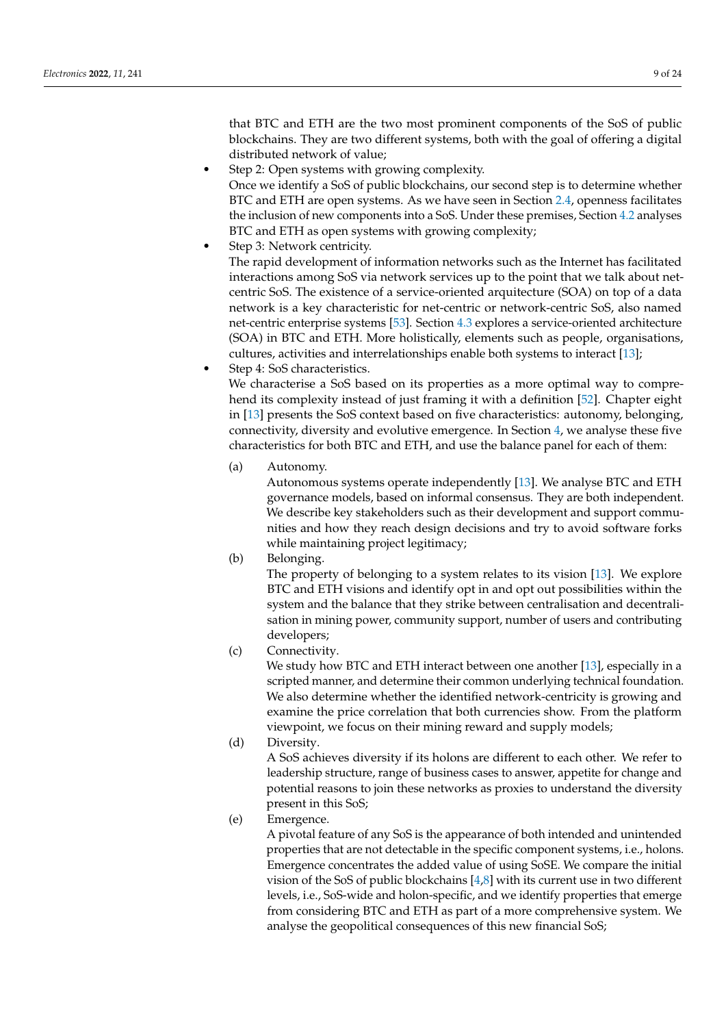that BTC and ETH are the two most prominent components of the SoS of public blockchains. They are two different systems, both with the goal of offering a digital distributed network of value;

Step 2: Open systems with growing complexity.

Once we identify a SoS of public blockchains, our second step is to determine whether BTC and ETH are open systems. As we have seen in Section [2.4,](#page-5-0) openness facilitates the inclusion of new components into a SoS. Under these premises, Section [4.2](#page-9-1) analyses BTC and ETH as open systems with growing complexity;

Step 3: Network centricity.

The rapid development of information networks such as the Internet has facilitated interactions among SoS via network services up to the point that we talk about netcentric SoS. The existence of a service-oriented arquitecture (SOA) on top of a data network is a key characteristic for net-centric or network-centric SoS, also named net-centric enterprise systems [\[53\]](#page-21-20). Section [4.3](#page-11-0) explores a service-oriented architecture (SOA) in BTC and ETH. More holistically, elements such as people, organisations, cultures, activities and interrelationships enable both systems to interact [\[13\]](#page-20-12);

Step 4: SoS characteristics.

We characterise a SoS based on its properties as a more optimal way to comprehend its complexity instead of just framing it with a definition [\[52\]](#page-21-19). Chapter eight in [\[13\]](#page-20-12) presents the SoS context based on five characteristics: autonomy, belonging, connectivity, diversity and evolutive emergence. In Section [4,](#page-9-0) we analyse these five characteristics for both BTC and ETH, and use the balance panel for each of them:

(a) Autonomy.

Autonomous systems operate independently [\[13\]](#page-20-12). We analyse BTC and ETH governance models, based on informal consensus. They are both independent. We describe key stakeholders such as their development and support communities and how they reach design decisions and try to avoid software forks while maintaining project legitimacy;

(b) Belonging.

The property of belonging to a system relates to its vision [\[13\]](#page-20-12). We explore BTC and ETH visions and identify opt in and opt out possibilities within the system and the balance that they strike between centralisation and decentralisation in mining power, community support, number of users and contributing developers;

(c) Connectivity.

We study how BTC and ETH interact between one another [\[13\]](#page-20-12), especially in a scripted manner, and determine their common underlying technical foundation. We also determine whether the identified network-centricity is growing and examine the price correlation that both currencies show. From the platform viewpoint, we focus on their mining reward and supply models;

(d) Diversity.

A SoS achieves diversity if its holons are different to each other. We refer to leadership structure, range of business cases to answer, appetite for change and potential reasons to join these networks as proxies to understand the diversity present in this SoS;

(e) Emergence.

A pivotal feature of any SoS is the appearance of both intended and unintended properties that are not detectable in the specific component systems, i.e., holons. Emergence concentrates the added value of using SoSE. We compare the initial vision of the SoS of public blockchains [\[4](#page-20-3)[,8\]](#page-20-7) with its current use in two different levels, i.e., SoS-wide and holon-specific, and we identify properties that emerge from considering BTC and ETH as part of a more comprehensive system. We analyse the geopolitical consequences of this new financial SoS;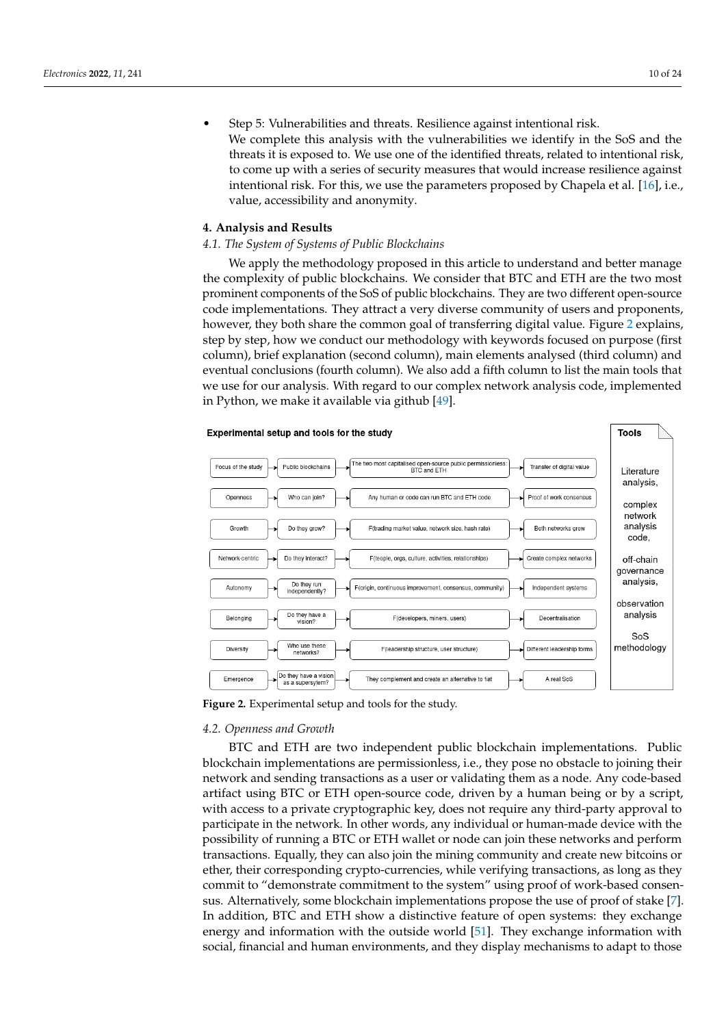• Step 5: Vulnerabilities and threats. Resilience against intentional risk. We complete this analysis with the vulnerabilities we identify in the SoS and the threats it is exposed to. We use one of the identified threats, related to intentional risk, to come up with a series of security measures that would increase resilience against intentional risk. For this, we use the parameters proposed by Chapela et al. [\[16\]](#page-20-15), i.e., value, accessibility and anonymity.

#### <span id="page-9-0"></span>**4. Analysis and Results**

#### *4.1. The System of Systems of Public Blockchains*

We apply the methodology proposed in this article to understand and better manage the complexity of public blockchains. We consider that BTC and ETH are the two most prominent components of the SoS of public blockchains. They are two different open-source code implementations. They attract a very diverse community of users and proponents, however, they both share the common goal of transferring digital value. Figure [2](#page-9-2) explains, step by step, how we conduct our methodology with keywords focused on purpose (first column), brief explanation (second column), main elements analysed (third column) and eventual conclusions (fourth column). We also add a fifth column to list the main tools that we use for our analysis. With regard to our complex network analysis code, implemented in Python, we make it available via github [\[49\]](#page-21-16).

<span id="page-9-2"></span>

**Figure 2.** Experimental setup and tools for the study.

## <span id="page-9-1"></span>*4.2. Openness and Growth*

BTC and ETH are two independent public blockchain implementations. Public blockchain implementations are permissionless, i.e., they pose no obstacle to joining their network and sending transactions as a user or validating them as a node. Any code-based artifact using BTC or ETH open-source code, driven by a human being or by a script, with access to a private cryptographic key, does not require any third-party approval to participate in the network. In other words, any individual or human-made device with the possibility of running a BTC or ETH wallet or node can join these networks and perform transactions. Equally, they can also join the mining community and create new bitcoins or ether, their corresponding crypto-currencies, while verifying transactions, as long as they commit to "demonstrate commitment to the system" using proof of work-based consensus. Alternatively, some blockchain implementations propose the use of proof of stake [\[7\]](#page-20-6). In addition, BTC and ETH show a distinctive feature of open systems: they exchange energy and information with the outside world [\[51\]](#page-21-18). They exchange information with social, financial and human environments, and they display mechanisms to adapt to those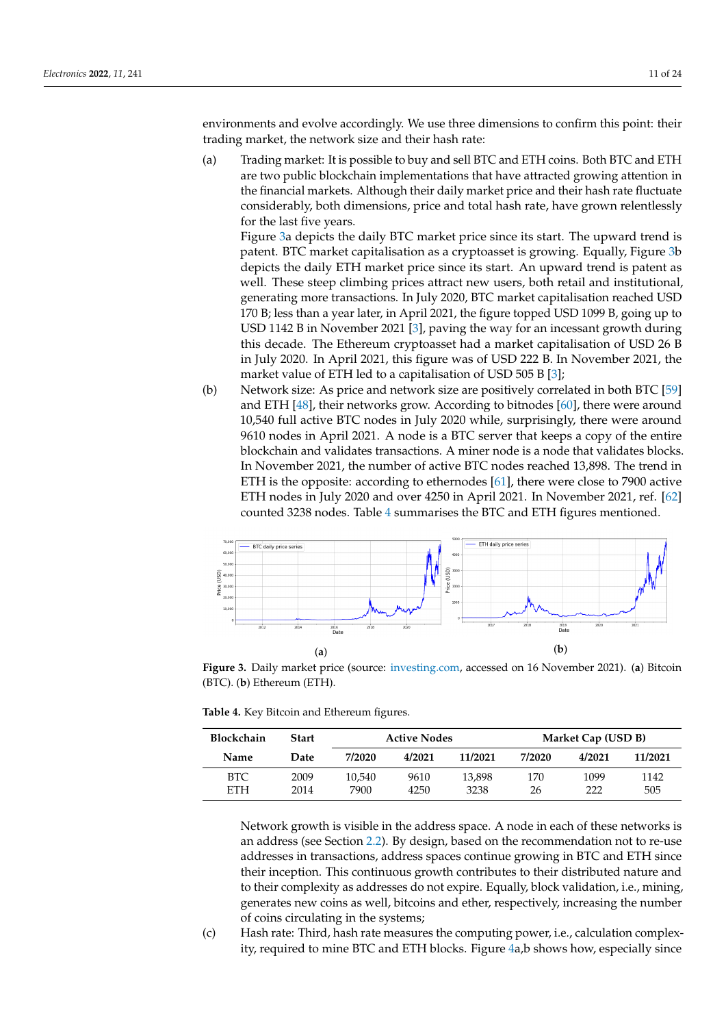environments and evolve accordingly. We use three dimensions to confirm this point: their trading market, the network size and their hash rate:

(a) Trading market: It is possible to buy and sell BTC and ETH coins. Both BTC and ETH are two public blockchain implementations that have attracted growing attention in the financial markets. Although their daily market price and their hash rate fluctuate considerably, both dimensions, price and total hash rate, have grown relentlessly for the last five years.

Figure [3a](#page-10-0) depicts the daily BTC market price since its start. The upward trend is patent. BTC market capitalisation as a cryptoasset is growing. Equally, Figure [3b](#page-10-0) depicts the daily ETH market price since its start. An upward trend is patent as well. These steep climbing prices attract new users, both retail and institutional, generating more transactions. In July 2020, BTC market capitalisation reached USD 170 B; less than a year later, in April 2021, the figure topped USD 1099 B, going up to USD 1142 B in November 2021 [\[3\]](#page-20-2), paving the way for an incessant growth during this decade. The Ethereum cryptoasset had a market capitalisation of USD 26 B in July 2020. In April 2021, this figure was of USD 222 B. In November 2021, the market value of ETH led to a capitalisation of USD 505 B [\[3\]](#page-20-2);

(b) Network size: As price and network size are positively correlated in both BTC [\[59\]](#page-22-2) and ETH [\[48\]](#page-21-15), their networks grow. According to bitnodes [\[60\]](#page-22-3), there were around 10,540 full active BTC nodes in July 2020 while, surprisingly, there were around 9610 nodes in April 2021. A node is a BTC server that keeps a copy of the entire blockchain and validates transactions. A miner node is a node that validates blocks. In November 2021, the number of active BTC nodes reached 13,898. The trend in ETH is the opposite: according to ethernodes [\[61\]](#page-22-4), there were close to 7900 active ETH nodes in July 2020 and over 4250 in April 2021. In November 2021, ref. [\[62\]](#page-22-5) counted 3238 nodes. Table [4](#page-10-1) summarises the BTC and ETH figures mentioned.

<span id="page-10-0"></span>

**Figure 3.** Daily market price (source: [investing.com,](investing.com) accessed on 16 November 2021). (**a**) Bitcoin (BTC). (**b**) Ethereum (ETH).

<span id="page-10-1"></span>

|  |  |  |  | Table 4. Key Bitcoin and Ethereum figures. |  |
|--|--|--|--|--------------------------------------------|--|
|--|--|--|--|--------------------------------------------|--|

| <b>Blockchain</b>        | Start        | <b>Active Nodes</b> |              |                |           | Market Cap (USD B) |             |
|--------------------------|--------------|---------------------|--------------|----------------|-----------|--------------------|-------------|
| Name                     | Date         | 7/2020              | 4/2021       | 11/2021        | 7/2020    | 4/2021             | 11/2021     |
| <b>BTC</b><br><b>ETH</b> | 2009<br>2014 | 10.540<br>7900      | 9610<br>4250 | 13.898<br>3238 | 170<br>26 | 1099<br>222        | 1142<br>505 |

Network growth is visible in the address space. A node in each of these networks is an address (see Section [2.2\)](#page-3-1). By design, based on the recommendation not to re-use addresses in transactions, address spaces continue growing in BTC and ETH since their inception. This continuous growth contributes to their distributed nature and to their complexity as addresses do not expire. Equally, block validation, i.e., mining, generates new coins as well, bitcoins and ether, respectively, increasing the number of coins circulating in the systems;

(c) Hash rate: Third, hash rate measures the computing power, i.e., calculation complexity, required to mine BTC and ETH blocks. Figure [4a](#page-11-1),b shows how, especially since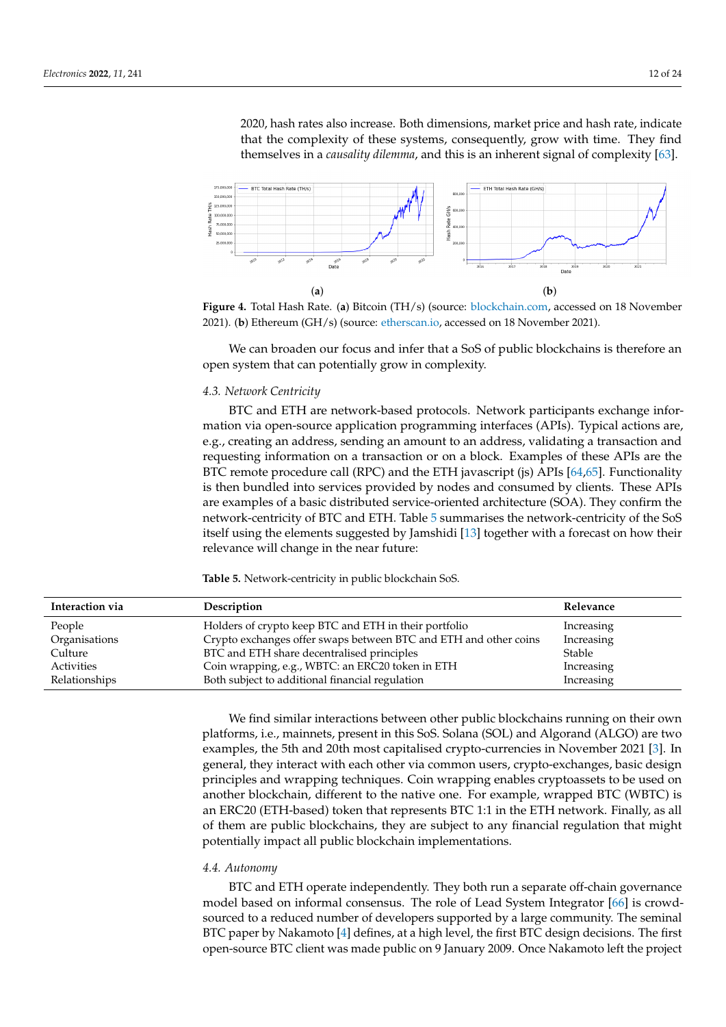2020, hash rates also increase. Both dimensions, market price and hash rate, indicate that the complexity of these systems, consequently, grow with time. They find themselves in a *causality dilemma*, and this is an inherent signal of complexity [\[63\]](#page-22-6).

<span id="page-11-1"></span>

**Figure 4.** Total Hash Rate. (**a**) Bitcoin (TH/s) (source: [blockchain.com,](blockchain.com) accessed on 18 November 2021). (**b**) Ethereum (GH/s) (source: [etherscan.io,](etherscan.io) accessed on 18 November 2021).

We can broaden our focus and infer that a SoS of public blockchains is therefore an open system that can potentially grow in complexity.

#### <span id="page-11-0"></span>*4.3. Network Centricity*

BTC and ETH are network-based protocols. Network participants exchange information via open-source application programming interfaces (APIs). Typical actions are, e.g., creating an address, sending an amount to an address, validating a transaction and requesting information on a transaction or on a block. Examples of these APIs are the BTC remote procedure call (RPC) and the ETH javascript (js) APIs [\[64,](#page-22-7)[65\]](#page-22-8). Functionality is then bundled into services provided by nodes and consumed by clients. These APIs are examples of a basic distributed service-oriented architecture (SOA). They confirm the network-centricity of BTC and ETH. Table [5](#page-11-2) summarises the network-centricity of the SoS itself using the elements suggested by Jamshidi [\[13\]](#page-20-12) together with a forecast on how their relevance will change in the near future:

| Interaction via | Description                                                      | Relevance  |
|-----------------|------------------------------------------------------------------|------------|
| People          | Holders of crypto keep BTC and ETH in their portfolio            | Increasing |
| Organisations   | Crypto exchanges offer swaps between BTC and ETH and other coins | Increasing |
| Culture         | BTC and ETH share decentralised principles                       | Stable     |
| Activities      | Coin wrapping, e.g., WBTC: an ERC20 token in ETH                 | Increasing |
| Relationships   | Both subject to additional financial regulation                  | Increasing |

<span id="page-11-2"></span>**Table 5.** Network-centricity in public blockchain SoS.

We find similar interactions between other public blockchains running on their own platforms, i.e., mainnets, present in this SoS. Solana (SOL) and Algorand (ALGO) are two examples, the 5th and 20th most capitalised crypto-currencies in November 2021 [\[3\]](#page-20-2). In general, they interact with each other via common users, crypto-exchanges, basic design principles and wrapping techniques. Coin wrapping enables cryptoassets to be used on another blockchain, different to the native one. For example, wrapped BTC (WBTC) is an ERC20 (ETH-based) token that represents BTC 1:1 in the ETH network. Finally, as all of them are public blockchains, they are subject to any financial regulation that might potentially impact all public blockchain implementations.

#### <span id="page-11-3"></span>*4.4. Autonomy*

BTC and ETH operate independently. They both run a separate off-chain governance model based on informal consensus. The role of Lead System Integrator [\[66\]](#page-22-9) is crowdsourced to a reduced number of developers supported by a large community. The seminal BTC paper by Nakamoto [\[4\]](#page-20-3) defines, at a high level, the first BTC design decisions. The first open-source BTC client was made public on 9 January 2009. Once Nakamoto left the project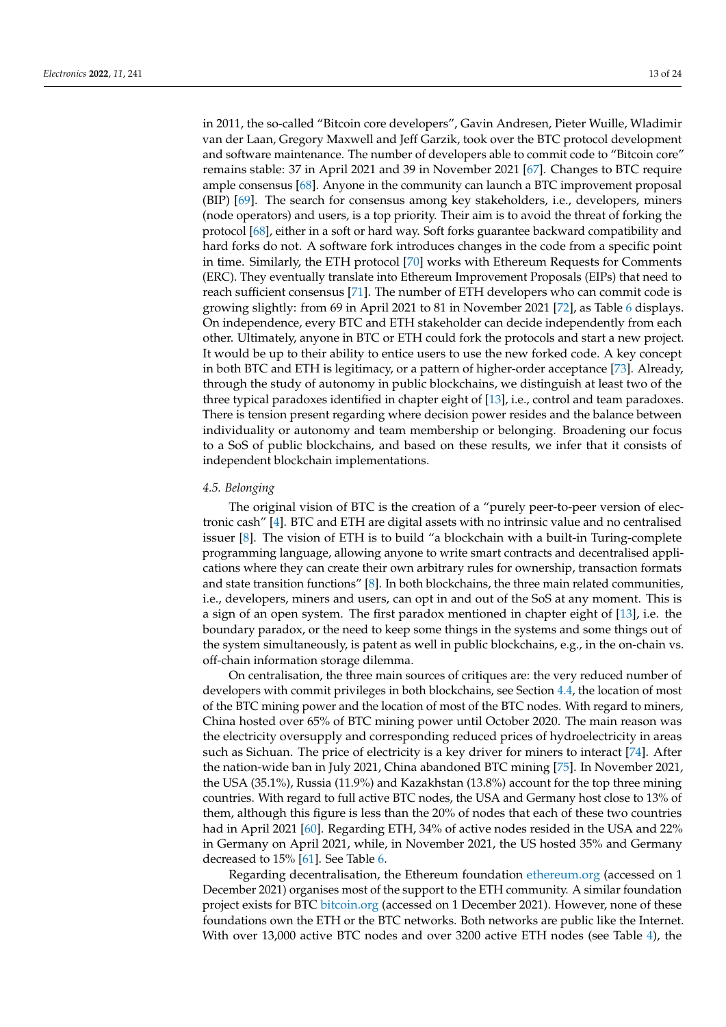in 2011, the so-called "Bitcoin core developers", Gavin Andresen, Pieter Wuille, Wladimir van der Laan, Gregory Maxwell and Jeff Garzik, took over the BTC protocol development and software maintenance. The number of developers able to commit code to "Bitcoin core" remains stable: 37 in April 2021 and 39 in November 2021 [\[67\]](#page-22-10). Changes to BTC require ample consensus [\[68\]](#page-22-11). Anyone in the community can launch a BTC improvement proposal (BIP) [\[69\]](#page-22-12). The search for consensus among key stakeholders, i.e., developers, miners (node operators) and users, is a top priority. Their aim is to avoid the threat of forking the protocol [\[68\]](#page-22-11), either in a soft or hard way. Soft forks guarantee backward compatibility and hard forks do not. A software fork introduces changes in the code from a specific point in time. Similarly, the ETH protocol [\[70\]](#page-22-13) works with Ethereum Requests for Comments (ERC). They eventually translate into Ethereum Improvement Proposals (EIPs) that need to reach sufficient consensus [\[71\]](#page-22-14). The number of ETH developers who can commit code is growing slightly: from 69 in April 2021 to 81 in November 2021 [\[72\]](#page-22-15), as Table [6](#page-13-0) displays. On independence, every BTC and ETH stakeholder can decide independently from each other. Ultimately, anyone in BTC or ETH could fork the protocols and start a new project. It would be up to their ability to entice users to use the new forked code. A key concept in both BTC and ETH is legitimacy, or a pattern of higher-order acceptance [\[73\]](#page-22-16). Already, through the study of autonomy in public blockchains, we distinguish at least two of the three typical paradoxes identified in chapter eight of [\[13\]](#page-20-12), i.e., control and team paradoxes. There is tension present regarding where decision power resides and the balance between individuality or autonomy and team membership or belonging. Broadening our focus to a SoS of public blockchains, and based on these results, we infer that it consists of independent blockchain implementations.

#### *4.5. Belonging*

The original vision of BTC is the creation of a "purely peer-to-peer version of electronic cash" [\[4\]](#page-20-3). BTC and ETH are digital assets with no intrinsic value and no centralised issuer [\[8\]](#page-20-7). The vision of ETH is to build "a blockchain with a built-in Turing-complete programming language, allowing anyone to write smart contracts and decentralised applications where they can create their own arbitrary rules for ownership, transaction formats and state transition functions" [\[8\]](#page-20-7). In both blockchains, the three main related communities, i.e., developers, miners and users, can opt in and out of the SoS at any moment. This is a sign of an open system. The first paradox mentioned in chapter eight of [\[13\]](#page-20-12), i.e. the boundary paradox, or the need to keep some things in the systems and some things out of the system simultaneously, is patent as well in public blockchains, e.g., in the on-chain vs. off-chain information storage dilemma.

On centralisation, the three main sources of critiques are: the very reduced number of developers with commit privileges in both blockchains, see Section [4.4,](#page-11-3) the location of most of the BTC mining power and the location of most of the BTC nodes. With regard to miners, China hosted over 65% of BTC mining power until October 2020. The main reason was the electricity oversupply and corresponding reduced prices of hydroelectricity in areas such as Sichuan. The price of electricity is a key driver for miners to interact [\[74\]](#page-22-17). After the nation-wide ban in July 2021, China abandoned BTC mining [\[75\]](#page-22-18). In November 2021, the USA (35.1%), Russia (11.9%) and Kazakhstan (13.8%) account for the top three mining countries. With regard to full active BTC nodes, the USA and Germany host close to 13% of them, although this figure is less than the 20% of nodes that each of these two countries had in April 2021 [\[60\]](#page-22-3). Regarding ETH, 34% of active nodes resided in the USA and 22% in Germany on April 2021, while, in November 2021, the US hosted 35% and Germany decreased to 15% [\[61\]](#page-22-4). See Table [6.](#page-13-0)

Regarding decentralisation, the Ethereum foundation <ethereum.org> (accessed on 1 December 2021) organises most of the support to the ETH community. A similar foundation project exists for BTC <bitcoin.org> (accessed on 1 December 2021). However, none of these foundations own the ETH or the BTC networks. Both networks are public like the Internet. With over 13,000 active BTC nodes and over 3200 active ETH nodes (see Table [4\)](#page-10-1), the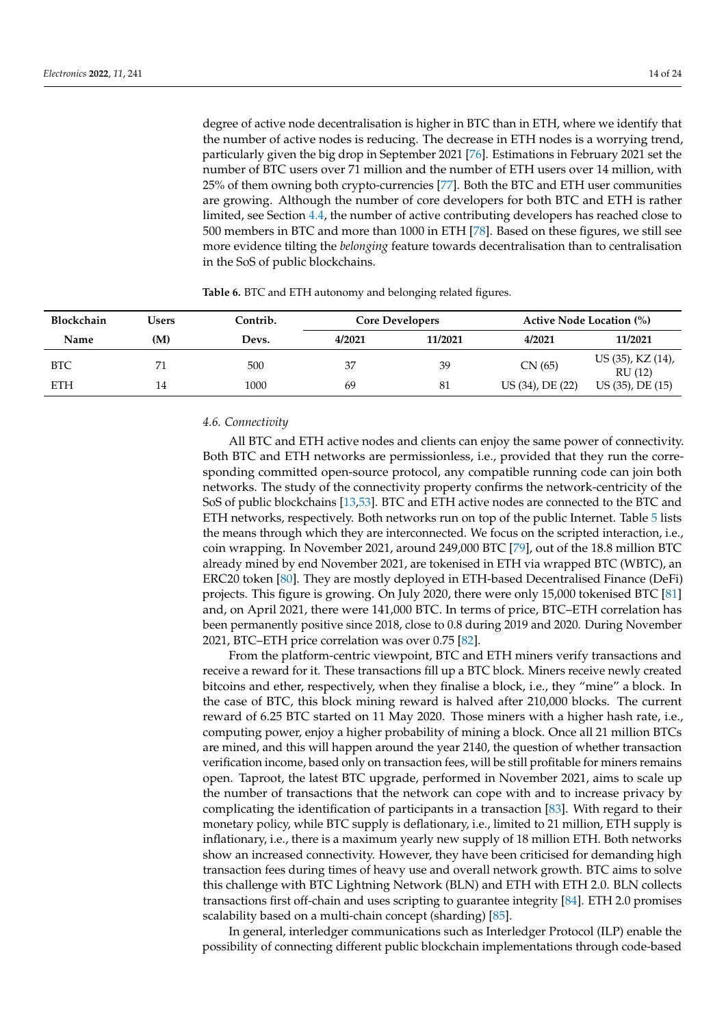degree of active node decentralisation is higher in BTC than in ETH, where we identify that the number of active nodes is reducing. The decrease in ETH nodes is a worrying trend, particularly given the big drop in September 2021 [\[76\]](#page-22-19). Estimations in February 2021 set the number of BTC users over 71 million and the number of ETH users over 14 million, with 25% of them owning both crypto-currencies [\[77\]](#page-22-20). Both the BTC and ETH user communities are growing. Although the number of core developers for both BTC and ETH is rather limited, see Section [4.4,](#page-11-3) the number of active contributing developers has reached close to 500 members in BTC and more than 1000 in ETH [\[78\]](#page-22-21). Based on these figures, we still see more evidence tilting the *belonging* feature towards decentralisation than to centralisation in the SoS of public blockchains.

| <b>Blockchain</b> | Users | Contrib. |        | <b>Core Developers</b> |                  | <b>Active Node Location (%)</b> |
|-------------------|-------|----------|--------|------------------------|------------------|---------------------------------|
| Name              | (M)   | Devs.    | 4/2021 | 11/2021                | 4/2021           | 11/2021                         |
| <b>BTC</b>        | 71    | 500      | 37     | 39                     | CN(65)           | US (35), KZ (14),<br>RU (12)    |
| <b>ETH</b>        | 14    | 1000     | 69     | 81                     | US (34), DE (22) | US (35), DE (15)                |

<span id="page-13-0"></span>**Table 6.** BTC and ETH autonomy and belonging related figures.

# *4.6. Connectivity*

All BTC and ETH active nodes and clients can enjoy the same power of connectivity. Both BTC and ETH networks are permissionless, i.e., provided that they run the corresponding committed open-source protocol, any compatible running code can join both networks. The study of the connectivity property confirms the network-centricity of the SoS of public blockchains [\[13](#page-20-12)[,53\]](#page-21-20). BTC and ETH active nodes are connected to the BTC and ETH networks, respectively. Both networks run on top of the public Internet. Table [5](#page-11-2) lists the means through which they are interconnected. We focus on the scripted interaction, i.e., coin wrapping. In November 2021, around 249,000 BTC [\[79\]](#page-22-22), out of the 18.8 million BTC already mined by end November 2021, are tokenised in ETH via wrapped BTC (WBTC), an ERC20 token [\[80\]](#page-22-23). They are mostly deployed in ETH-based Decentralised Finance (DeFi) projects. This figure is growing. On July 2020, there were only 15,000 tokenised BTC [\[81\]](#page-22-24) and, on April 2021, there were 141,000 BTC. In terms of price, BTC–ETH correlation has been permanently positive since 2018, close to 0.8 during 2019 and 2020. During November 2021, BTC–ETH price correlation was over 0.75 [\[82\]](#page-22-25).

From the platform-centric viewpoint, BTC and ETH miners verify transactions and receive a reward for it. These transactions fill up a BTC block. Miners receive newly created bitcoins and ether, respectively, when they finalise a block, i.e., they "mine" a block. In the case of BTC, this block mining reward is halved after 210,000 blocks. The current reward of 6.25 BTC started on 11 May 2020. Those miners with a higher hash rate, i.e., computing power, enjoy a higher probability of mining a block. Once all 21 million BTCs are mined, and this will happen around the year 2140, the question of whether transaction verification income, based only on transaction fees, will be still profitable for miners remains open. Taproot, the latest BTC upgrade, performed in November 2021, aims to scale up the number of transactions that the network can cope with and to increase privacy by complicating the identification of participants in a transaction [\[83\]](#page-22-26). With regard to their monetary policy, while BTC supply is deflationary, i.e., limited to 21 million, ETH supply is inflationary, i.e., there is a maximum yearly new supply of 18 million ETH. Both networks show an increased connectivity. However, they have been criticised for demanding high transaction fees during times of heavy use and overall network growth. BTC aims to solve this challenge with BTC Lightning Network (BLN) and ETH with ETH 2.0. BLN collects transactions first off-chain and uses scripting to guarantee integrity [\[84\]](#page-22-27). ETH 2.0 promises scalability based on a multi-chain concept (sharding) [\[85\]](#page-22-28).

In general, interledger communications such as Interledger Protocol (ILP) enable the possibility of connecting different public blockchain implementations through code-based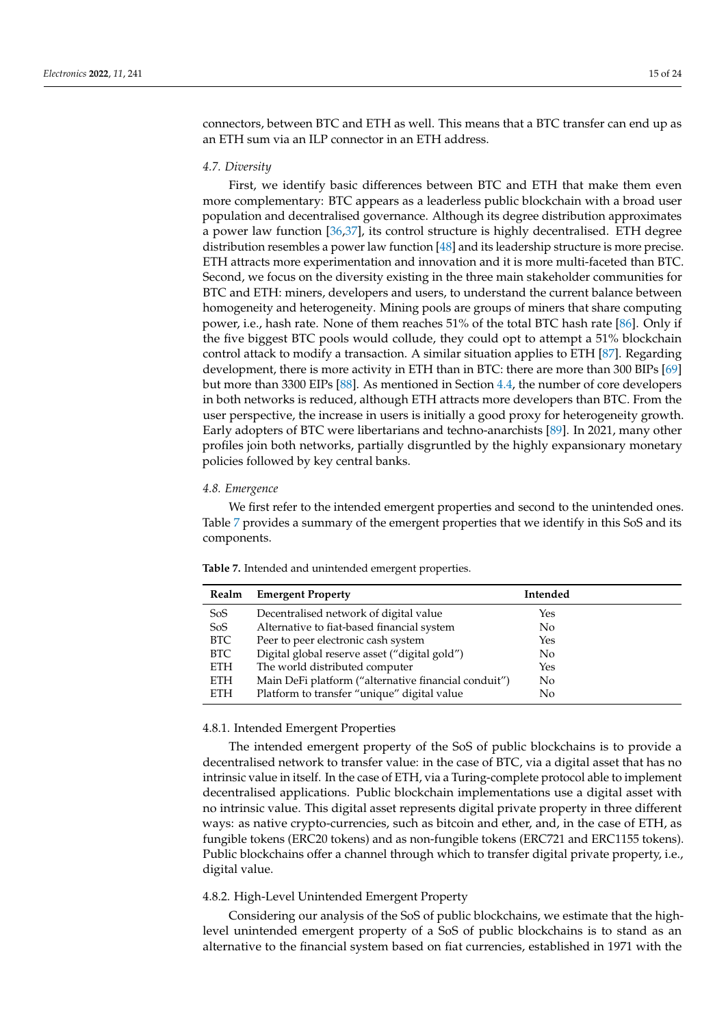connectors, between BTC and ETH as well. This means that a BTC transfer can end up as an ETH sum via an ILP connector in an ETH address.

#### *4.7. Diversity*

First, we identify basic differences between BTC and ETH that make them even more complementary: BTC appears as a leaderless public blockchain with a broad user population and decentralised governance. Although its degree distribution approximates a power law function [\[36,](#page-21-5)[37\]](#page-21-6), its control structure is highly decentralised. ETH degree distribution resembles a power law function [\[48\]](#page-21-15) and its leadership structure is more precise. ETH attracts more experimentation and innovation and it is more multi-faceted than BTC. Second, we focus on the diversity existing in the three main stakeholder communities for BTC and ETH: miners, developers and users, to understand the current balance between homogeneity and heterogeneity. Mining pools are groups of miners that share computing power, i.e., hash rate. None of them reaches 51% of the total BTC hash rate [\[86\]](#page-22-29). Only if the five biggest BTC pools would collude, they could opt to attempt a 51% blockchain control attack to modify a transaction. A similar situation applies to ETH [\[87\]](#page-22-30). Regarding development, there is more activity in ETH than in BTC: there are more than 300 BIPs [\[69\]](#page-22-12) but more than 3300 EIPs [\[88\]](#page-22-31). As mentioned in Section [4.4,](#page-11-3) the number of core developers in both networks is reduced, although ETH attracts more developers than BTC. From the user perspective, the increase in users is initially a good proxy for heterogeneity growth. Early adopters of BTC were libertarians and techno-anarchists [\[89\]](#page-22-32). In 2021, many other profiles join both networks, partially disgruntled by the highly expansionary monetary policies followed by key central banks.

#### *4.8. Emergence*

We first refer to the intended emergent properties and second to the unintended ones. Table [7](#page-14-0) provides a summary of the emergent properties that we identify in this SoS and its components.

| Realm      | <b>Emergent Property</b>                             | Intended |
|------------|------------------------------------------------------|----------|
| SoS        | Decentralised network of digital value               | Yes      |
| SoS        | Alternative to fiat-based financial system           | No.      |
| BTC        | Peer to peer electronic cash system                  | Yes      |
| BTC        | Digital global reserve asset ("digital gold")        | No       |
| <b>ETH</b> | The world distributed computer                       | Yes      |
| <b>ETH</b> | Main DeFi platform ("alternative financial conduit") | No       |
| ETH        | Platform to transfer "unique" digital value          | No       |

<span id="page-14-0"></span>**Table 7.** Intended and unintended emergent properties.

#### 4.8.1. Intended Emergent Properties

The intended emergent property of the SoS of public blockchains is to provide a decentralised network to transfer value: in the case of BTC, via a digital asset that has no intrinsic value in itself. In the case of ETH, via a Turing-complete protocol able to implement decentralised applications. Public blockchain implementations use a digital asset with no intrinsic value. This digital asset represents digital private property in three different ways: as native crypto-currencies, such as bitcoin and ether, and, in the case of ETH, as fungible tokens (ERC20 tokens) and as non-fungible tokens (ERC721 and ERC1155 tokens). Public blockchains offer a channel through which to transfer digital private property, i.e., digital value.

#### 4.8.2. High-Level Unintended Emergent Property

Considering our analysis of the SoS of public blockchains, we estimate that the highlevel unintended emergent property of a SoS of public blockchains is to stand as an alternative to the financial system based on fiat currencies, established in 1971 with the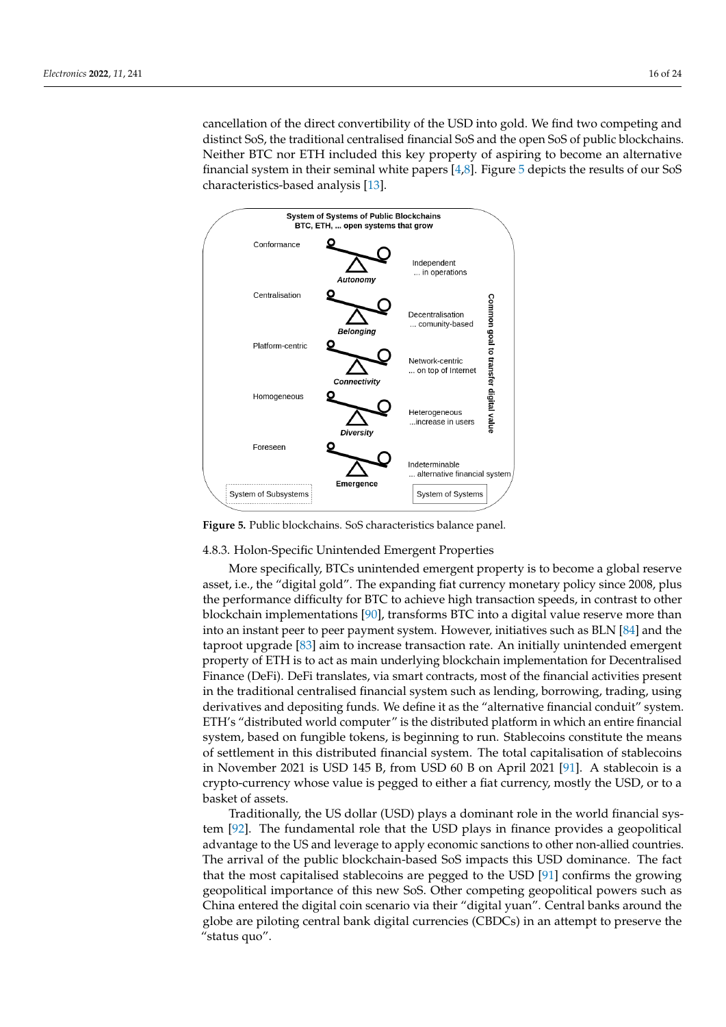cancellation of the direct convertibility of the USD into gold. We find two competing and distinct SoS, the traditional centralised financial SoS and the open SoS of public blockchains. Neither BTC nor ETH included this key property of aspiring to become an alternative financial system in their seminal white papers [\[4,](#page-20-3)[8\]](#page-20-7). Figure [5](#page-15-0) depicts the results of our SoS characteristics-based analysis [\[13\]](#page-20-12).

<span id="page-15-0"></span>

**Figure 5.** Public blockchains. SoS characteristics balance panel.

4.8.3. Holon-Specific Unintended Emergent Properties

More specifically, BTCs unintended emergent property is to become a global reserve asset, i.e., the "digital gold". The expanding fiat currency monetary policy since 2008, plus the performance difficulty for BTC to achieve high transaction speeds, in contrast to other blockchain implementations [\[90\]](#page-23-0), transforms BTC into a digital value reserve more than into an instant peer to peer payment system. However, initiatives such as BLN [\[84\]](#page-22-27) and the taproot upgrade [\[83\]](#page-22-26) aim to increase transaction rate. An initially unintended emergent property of ETH is to act as main underlying blockchain implementation for Decentralised Finance (DeFi). DeFi translates, via smart contracts, most of the financial activities present in the traditional centralised financial system such as lending, borrowing, trading, using derivatives and depositing funds. We define it as the "alternative financial conduit" system. ETH's "distributed world computer" is the distributed platform in which an entire financial system, based on fungible tokens, is beginning to run. Stablecoins constitute the means of settlement in this distributed financial system. The total capitalisation of stablecoins in November 2021 is USD 145 B, from USD 60 B on April 2021 [\[91\]](#page-23-1). A stablecoin is a crypto-currency whose value is pegged to either a fiat currency, mostly the USD, or to a basket of assets.

Traditionally, the US dollar (USD) plays a dominant role in the world financial system [\[92\]](#page-23-2). The fundamental role that the USD plays in finance provides a geopolitical advantage to the US and leverage to apply economic sanctions to other non-allied countries. The arrival of the public blockchain-based SoS impacts this USD dominance. The fact that the most capitalised stablecoins are pegged to the USD [\[91\]](#page-23-1) confirms the growing geopolitical importance of this new SoS. Other competing geopolitical powers such as China entered the digital coin scenario via their "digital yuan". Central banks around the globe are piloting central bank digital currencies (CBDCs) in an attempt to preserve the "status quo".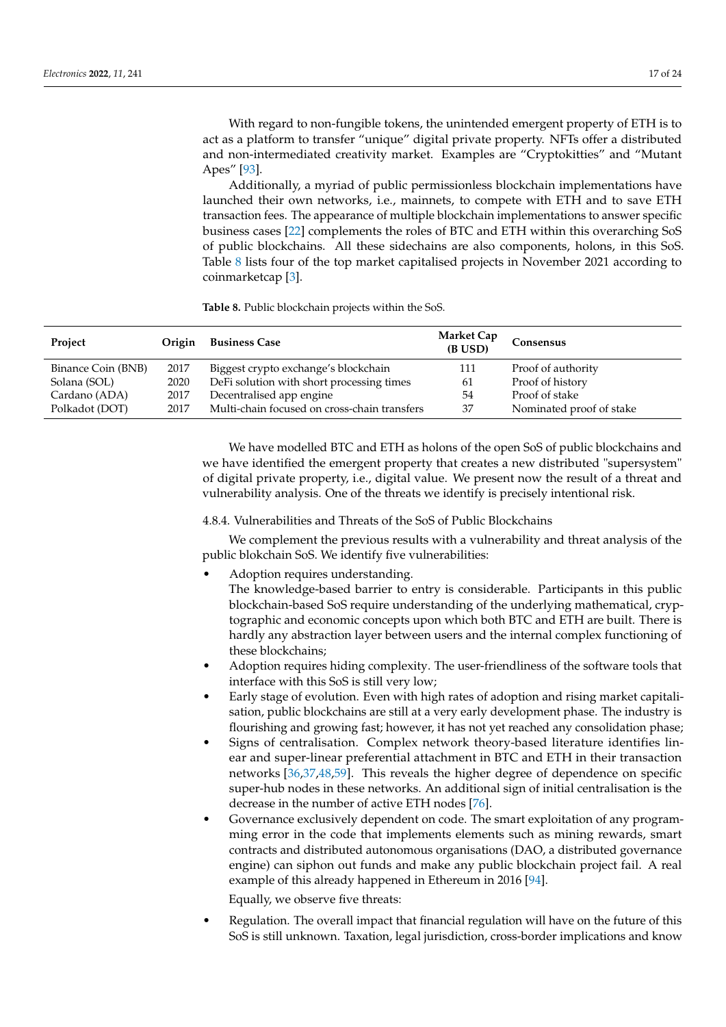With regard to non-fungible tokens, the unintended emergent property of ETH is to act as a platform to transfer "unique" digital private property. NFTs offer a distributed and non-intermediated creativity market. Examples are "Cryptokitties" and "Mutant Apes" [\[93\]](#page-23-3).

Additionally, a myriad of public permissionless blockchain implementations have launched their own networks, i.e., mainnets, to compete with ETH and to save ETH transaction fees. The appearance of multiple blockchain implementations to answer specific business cases [\[22\]](#page-20-21) complements the roles of BTC and ETH within this overarching SoS of public blockchains. All these sidechains are also components, holons, in this SoS. Table [8](#page-16-0) lists four of the top market capitalised projects in November 2021 according to coinmarketcap [\[3\]](#page-20-2).

<span id="page-16-0"></span>**Table 8.** Public blockchain projects within the SoS.

| Project            | Origin | <b>Business Case</b>                         | <b>Market Cap</b><br>(B USD) | Consensus                |
|--------------------|--------|----------------------------------------------|------------------------------|--------------------------|
| Binance Coin (BNB) | 2017   | Biggest crypto exchange's blockchain         | 111                          | Proof of authority       |
| Solana (SOL)       | 2020   | DeFi solution with short processing times    | 61                           | Proof of history         |
| Cardano (ADA)      | 2017   | Decentralised app engine                     | 54                           | Proof of stake           |
| Polkadot (DOT)     | 2017   | Multi-chain focused on cross-chain transfers | 37                           | Nominated proof of stake |

We have modelled BTC and ETH as holons of the open SoS of public blockchains and we have identified the emergent property that creates a new distributed "supersystem" of digital private property, i.e., digital value. We present now the result of a threat and vulnerability analysis. One of the threats we identify is precisely intentional risk.

# 4.8.4. Vulnerabilities and Threats of the SoS of Public Blockchains

We complement the previous results with a vulnerability and threat analysis of the public blokchain SoS. We identify five vulnerabilities:

- Adoption requires understanding.
	- The knowledge-based barrier to entry is considerable. Participants in this public blockchain-based SoS require understanding of the underlying mathematical, cryptographic and economic concepts upon which both BTC and ETH are built. There is hardly any abstraction layer between users and the internal complex functioning of these blockchains;
- Adoption requires hiding complexity. The user-friendliness of the software tools that interface with this SoS is still very low;
- Early stage of evolution. Even with high rates of adoption and rising market capitalisation, public blockchains are still at a very early development phase. The industry is flourishing and growing fast; however, it has not yet reached any consolidation phase;
- Signs of centralisation. Complex network theory-based literature identifies linear and super-linear preferential attachment in BTC and ETH in their transaction networks [\[36,](#page-21-5)[37](#page-21-6)[,48,](#page-21-15)[59\]](#page-22-2). This reveals the higher degree of dependence on specific super-hub nodes in these networks. An additional sign of initial centralisation is the decrease in the number of active ETH nodes [\[76\]](#page-22-19).
- Governance exclusively dependent on code. The smart exploitation of any programming error in the code that implements elements such as mining rewards, smart contracts and distributed autonomous organisations (DAO, a distributed governance engine) can siphon out funds and make any public blockchain project fail. A real example of this already happened in Ethereum in 2016 [\[94\]](#page-23-4).

Equally, we observe five threats:

• Regulation. The overall impact that financial regulation will have on the future of this SoS is still unknown. Taxation, legal jurisdiction, cross-border implications and know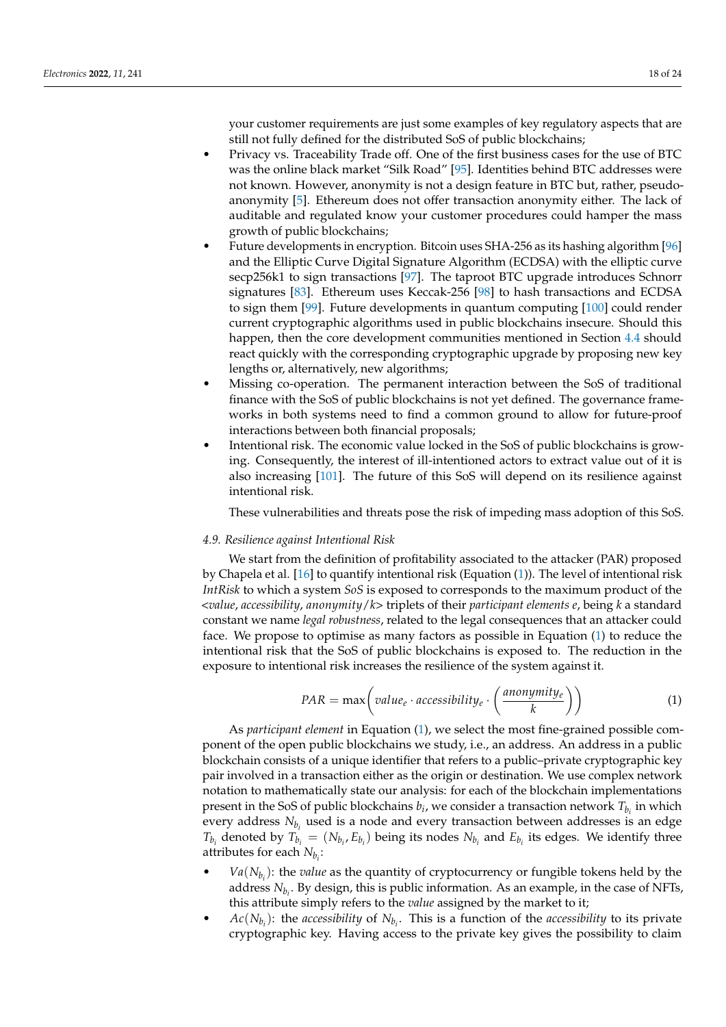your customer requirements are just some examples of key regulatory aspects that are still not fully defined for the distributed SoS of public blockchains;

- Privacy vs. Traceability Trade off. One of the first business cases for the use of BTC was the online black market "Silk Road" [\[95\]](#page-23-5). Identities behind BTC addresses were not known. However, anonymity is not a design feature in BTC but, rather, pseudoanonymity [\[5\]](#page-20-4). Ethereum does not offer transaction anonymity either. The lack of auditable and regulated know your customer procedures could hamper the mass growth of public blockchains;
- Future developments in encryption. Bitcoin uses SHA-256 as its hashing algorithm [\[96\]](#page-23-6) and the Elliptic Curve Digital Signature Algorithm (ECDSA) with the elliptic curve secp256k1 to sign transactions [\[97\]](#page-23-7). The taproot BTC upgrade introduces Schnorr signatures [\[83\]](#page-22-26). Ethereum uses Keccak-256 [\[98\]](#page-23-8) to hash transactions and ECDSA to sign them [\[99\]](#page-23-9). Future developments in quantum computing [\[100\]](#page-23-10) could render current cryptographic algorithms used in public blockchains insecure. Should this happen, then the core development communities mentioned in Section [4.4](#page-11-3) should react quickly with the corresponding cryptographic upgrade by proposing new key lengths or, alternatively, new algorithms;
- Missing co-operation. The permanent interaction between the SoS of traditional finance with the SoS of public blockchains is not yet defined. The governance frameworks in both systems need to find a common ground to allow for future-proof interactions between both financial proposals;
- Intentional risk. The economic value locked in the SoS of public blockchains is growing. Consequently, the interest of ill-intentioned actors to extract value out of it is also increasing [\[101\]](#page-23-11). The future of this SoS will depend on its resilience against intentional risk.

These vulnerabilities and threats pose the risk of impeding mass adoption of this SoS.

# *4.9. Resilience against Intentional Risk*

We start from the definition of profitability associated to the attacker (PAR) proposed by Chapela et al. [\[16\]](#page-20-15) to quantify intentional risk (Equation [\(1\)](#page-17-0)). The level of intentional risk *IntRisk* to which a system *SoS* is exposed to corresponds to the maximum product of the <*value*, *accessibility*, *anonymity*/*k*> triplets of their *participant elements e*, being *k* a standard constant we name *legal robustness*, related to the legal consequences that an attacker could face. We propose to optimise as many factors as possible in Equation [\(1\)](#page-17-0) to reduce the intentional risk that the SoS of public blockchains is exposed to. The reduction in the exposure to intentional risk increases the resilience of the system against it.

<span id="page-17-0"></span>
$$
PAR = \max\left(\text{value}_{e} \cdot \text{accessibility}_{e} \cdot \left(\frac{\text{anonymity}_{e}}{k}\right)\right) \tag{1}
$$

As *participant element* in Equation [\(1\)](#page-17-0), we select the most fine-grained possible component of the open public blockchains we study, i.e., an address. An address in a public blockchain consists of a unique identifier that refers to a public–private cryptographic key pair involved in a transaction either as the origin or destination. We use complex network notation to mathematically state our analysis: for each of the blockchain implementations present in the SoS of public blockchains *b<sup>i</sup>* , we consider a transaction network *Tb<sup>i</sup>* in which every address  $N_{b_i}$  used is a node and every transaction between addresses is an edge  $T_{b_i}$  denoted by  $T_{b_i} = (N_{b_i}, E_{b_i})$  being its nodes  $N_{b_i}$  and  $E_{b_i}$  its edges. We identify three attributes for each *Nb<sup>i</sup>* :

- $Va(N_{b_i})$ : the *value* as the quantity of cryptocurrency or fungible tokens held by the address *Nb<sup>i</sup>* . By design, this is public information. As an example, in the case of NFTs, this attribute simply refers to the *value* assigned by the market to it;
- $Ac(N_{b_i})$ : the *accessibility* of  $N_{b_i}$ . This is a function of the *accessibility* to its private cryptographic key. Having access to the private key gives the possibility to claim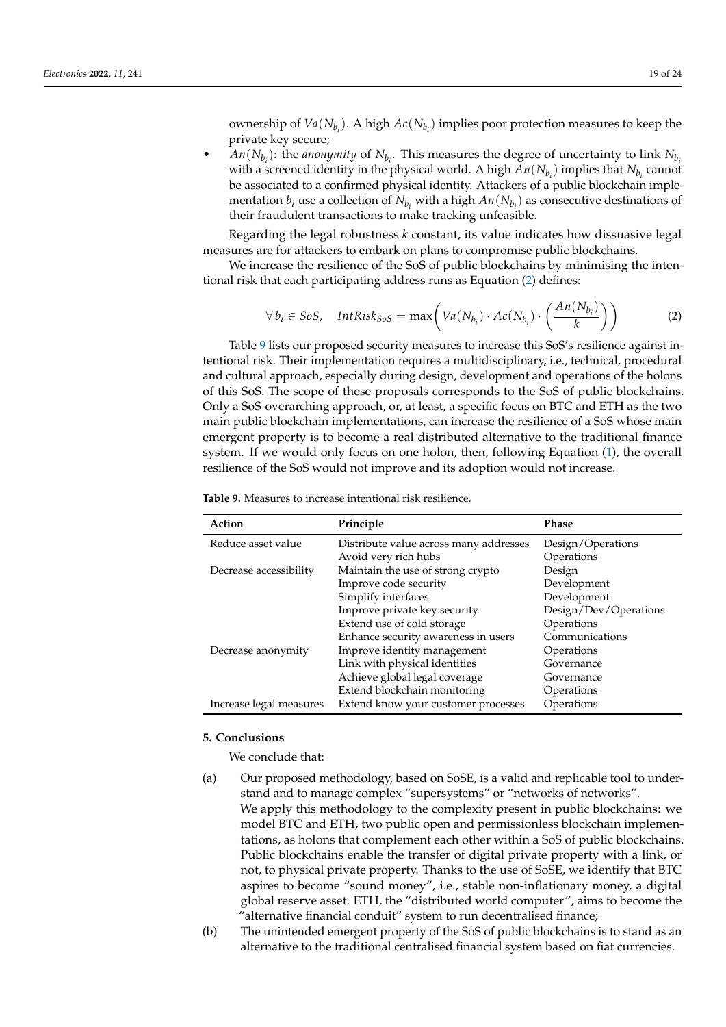ownership of  $Va(N_{b_i})$ . A high  $Ac(N_{b_i})$  implies poor protection measures to keep the private key secure;

• *An*( $N_{b_i}$ ): the *anonymity* of  $N_{b_i}$ . This measures the degree of uncertainty to link  $N_{b_i}$ with a screened identity in the physical world. A high  $An(N_{b_i})$  implies that  $N_{b_i}$  cannot be associated to a confirmed physical identity. Attackers of a public blockchain implementation  $b_i$  use a collection of  $N_{b_i}$  with a high  $An(N_{b_i})$  as consecutive destinations of their fraudulent transactions to make tracking unfeasible.

Regarding the legal robustness *k* constant, its value indicates how dissuasive legal measures are for attackers to embark on plans to compromise public blockchains.

We increase the resilience of the SoS of public blockchains by minimising the intentional risk that each participating address runs as Equation [\(2\)](#page-18-1) defines:

<span id="page-18-1"></span>
$$
\forall b_i \in SoS, \quad IntRisk_{SoS} = \max\left(Va(N_{b_i}) \cdot Ac(N_{b_i}) \cdot \left(\frac{An(N_{b_i})}{k}\right)\right) \tag{2}
$$

Table [9](#page-18-2) lists our proposed security measures to increase this SoS's resilience against intentional risk. Their implementation requires a multidisciplinary, i.e., technical, procedural and cultural approach, especially during design, development and operations of the holons of this SoS. The scope of these proposals corresponds to the SoS of public blockchains. Only a SoS-overarching approach, or, at least, a specific focus on BTC and ETH as the two main public blockchain implementations, can increase the resilience of a SoS whose main emergent property is to become a real distributed alternative to the traditional finance system. If we would only focus on one holon, then, following Equation [\(1\)](#page-17-0), the overall resilience of the SoS would not improve and its adoption would not increase.

| Action                  | Principle                              | <b>Phase</b>          |
|-------------------------|----------------------------------------|-----------------------|
| Reduce asset value      | Distribute value across many addresses | Design/Operations     |
|                         | Avoid very rich hubs                   | Operations            |
| Decrease accessibility  | Maintain the use of strong crypto      | Design                |
|                         | Improve code security                  | Development           |
|                         | Simplify interfaces                    | Development           |
|                         | Improve private key security           | Design/Dev/Operations |
|                         | Extend use of cold storage             | Operations            |
|                         | Enhance security awareness in users    | Communications        |
| Decrease anonymity      | Improve identity management            | Operations            |
|                         | Link with physical identities          | Governance            |
|                         | Achieve global legal coverage          | Governance            |
|                         | Extend blockchain monitoring           | Operations            |
| Increase legal measures | Extend know your customer processes    | Operations            |

<span id="page-18-2"></span>**Table 9.** Measures to increase intentional risk resilience.

#### <span id="page-18-0"></span>**5. Conclusions**

We conclude that:

- (a) Our proposed methodology, based on SoSE, is a valid and replicable tool to understand and to manage complex "supersystems" or "networks of networks". We apply this methodology to the complexity present in public blockchains: we model BTC and ETH, two public open and permissionless blockchain implementations, as holons that complement each other within a SoS of public blockchains. Public blockchains enable the transfer of digital private property with a link, or not, to physical private property. Thanks to the use of SoSE, we identify that BTC aspires to become "sound money", i.e., stable non-inflationary money, a digital global reserve asset. ETH, the "distributed world computer", aims to become the "alternative financial conduit" system to run decentralised finance;
- (b) The unintended emergent property of the SoS of public blockchains is to stand as an alternative to the traditional centralised financial system based on fiat currencies.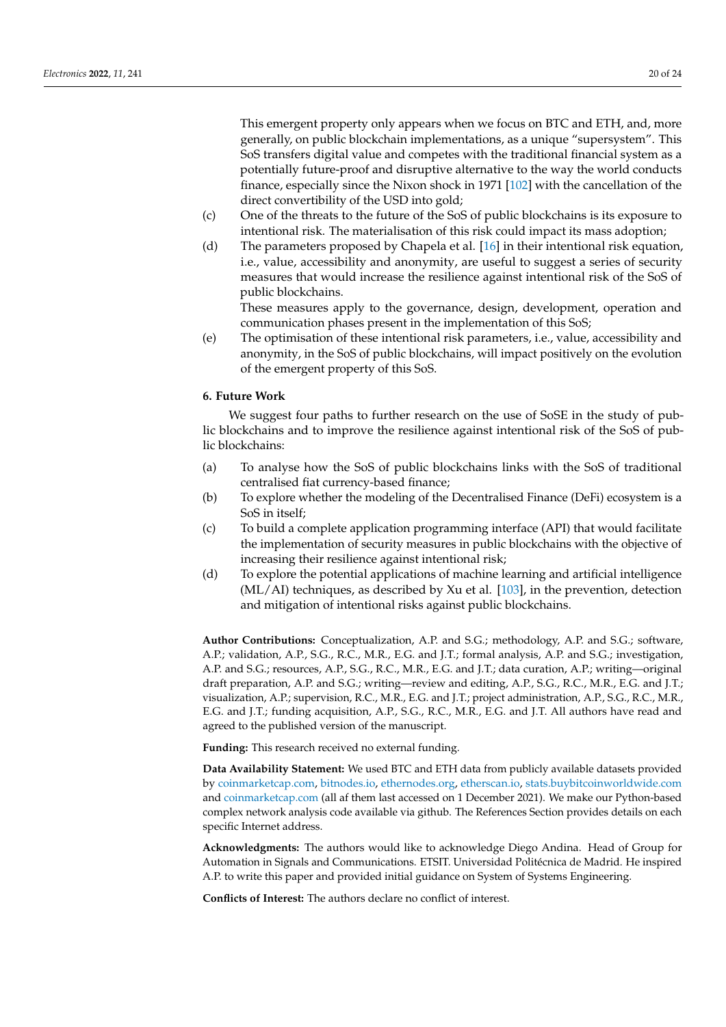This emergent property only appears when we focus on BTC and ETH, and, more generally, on public blockchain implementations, as a unique "supersystem". This SoS transfers digital value and competes with the traditional financial system as a potentially future-proof and disruptive alternative to the way the world conducts finance, especially since the Nixon shock in 1971 [\[102\]](#page-23-12) with the cancellation of the direct convertibility of the USD into gold;

- (c) One of the threats to the future of the SoS of public blockchains is its exposure to intentional risk. The materialisation of this risk could impact its mass adoption;
- (d) The parameters proposed by Chapela et al. [\[16\]](#page-20-15) in their intentional risk equation, i.e., value, accessibility and anonymity, are useful to suggest a series of security measures that would increase the resilience against intentional risk of the SoS of public blockchains.

These measures apply to the governance, design, development, operation and communication phases present in the implementation of this SoS;

(e) The optimisation of these intentional risk parameters, i.e., value, accessibility and anonymity, in the SoS of public blockchains, will impact positively on the evolution of the emergent property of this SoS.

# <span id="page-19-0"></span>**6. Future Work**

We suggest four paths to further research on the use of SoSE in the study of public blockchains and to improve the resilience against intentional risk of the SoS of public blockchains:

- (a) To analyse how the SoS of public blockchains links with the SoS of traditional centralised fiat currency-based finance;
- (b) To explore whether the modeling of the Decentralised Finance (DeFi) ecosystem is a SoS in itself;
- (c) To build a complete application programming interface (API) that would facilitate the implementation of security measures in public blockchains with the objective of increasing their resilience against intentional risk;
- (d) To explore the potential applications of machine learning and artificial intelligence (ML/AI) techniques, as described by Xu et al. [\[103\]](#page-23-13), in the prevention, detection and mitigation of intentional risks against public blockchains.

**Author Contributions:** Conceptualization, A.P. and S.G.; methodology, A.P. and S.G.; software, A.P.; validation, A.P., S.G., R.C., M.R., E.G. and J.T.; formal analysis, A.P. and S.G.; investigation, A.P. and S.G.; resources, A.P., S.G., R.C., M.R., E.G. and J.T.; data curation, A.P.; writing—original draft preparation, A.P. and S.G.; writing—review and editing, A.P., S.G., R.C., M.R., E.G. and J.T.; visualization, A.P.; supervision, R.C., M.R., E.G. and J.T.; project administration, A.P., S.G., R.C., M.R., E.G. and J.T.; funding acquisition, A.P., S.G., R.C., M.R., E.G. and J.T. All authors have read and agreed to the published version of the manuscript.

**Funding:** This research received no external funding.

**Data Availability Statement:** We used BTC and ETH data from publicly available datasets provided by [coinmarketcap.com,](coinmarketcap.com) [bitnodes.io,](bitnodes.io) [ethernodes.org,](ethernodes.org) [etherscan.io,](etherscan.io) <stats.buybitcoinworldwide.com> and <coinmarketcap.com> (all af them last accessed on 1 December 2021). We make our Python-based complex network analysis code available via github. The References Section provides details on each specific Internet address.

**Acknowledgments:** The authors would like to acknowledge Diego Andina. Head of Group for Automation in Signals and Communications. ETSIT. Universidad Politécnica de Madrid. He inspired A.P. to write this paper and provided initial guidance on System of Systems Engineering.

**Conflicts of Interest:** The authors declare no conflict of interest.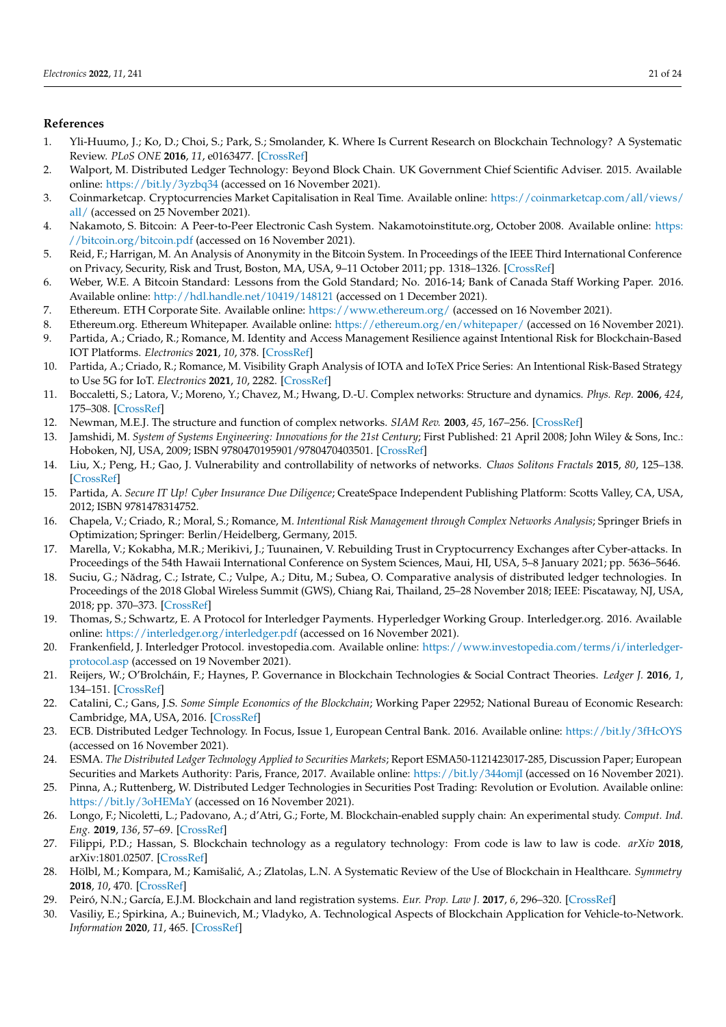# **References**

- <span id="page-20-0"></span>1. Yli-Huumo, J.; Ko, D.; Choi, S.; Park, S.; Smolander, K. Where Is Current Research on Blockchain Technology? A Systematic Review. *PLoS ONE* **2016**, *11*, e0163477. [\[CrossRef\]](http://doi.org/10.1371/journal.pone.0163477)
- <span id="page-20-1"></span>2. Walport, M. Distributed Ledger Technology: Beyond Block Chain. UK Government Chief Scientific Adviser. 2015. Available online: <https://bit.ly/3yzbq34> (accessed on 16 November 2021).
- <span id="page-20-2"></span>3. Coinmarketcap. Cryptocurrencies Market Capitalisation in Real Time. Available online: [https://coinmarketcap.com/all/views/](https://coinmarketcap.com/all/views/all/) [all/](https://coinmarketcap.com/all/views/all/) (accessed on 25 November 2021).
- <span id="page-20-3"></span>4. Nakamoto, S. Bitcoin: A Peer-to-Peer Electronic Cash System. Nakamotoinstitute.org, October 2008. Available online: [https:](https://bitcoin.org/bitcoin.pdf) [//bitcoin.org/bitcoin.pdf](https://bitcoin.org/bitcoin.pdf) (accessed on 16 November 2021).
- <span id="page-20-4"></span>5. Reid, F.; Harrigan, M. An Analysis of Anonymity in the Bitcoin System. In Proceedings of the IEEE Third International Conference on Privacy, Security, Risk and Trust, Boston, MA, USA, 9–11 October 2011; pp. 1318–1326. [\[CrossRef\]](http://dx.doi.org/10.1109/PASSAT/SocialCom.2011.79)
- <span id="page-20-5"></span>6. Weber, W.E. A Bitcoin Standard: Lessons from the Gold Standard; No. 2016-14; Bank of Canada Staff Working Paper. 2016. Available online: <http://hdl.handle.net/10419/148121> (accessed on 1 December 2021).
- <span id="page-20-6"></span>7. Ethereum. ETH Corporate Site. Available online: <https://www.ethereum.org/> (accessed on 16 November 2021).
- <span id="page-20-7"></span>8. Ethereum.org. Ethereum Whitepaper. Available online: <https://ethereum.org/en/whitepaper/> (accessed on 16 November 2021).
- <span id="page-20-8"></span>9. Partida, A.; Criado, R.; Romance, M. Identity and Access Management Resilience against Intentional Risk for Blockchain-Based IOT Platforms. *Electronics* **2021**, *10*, 378. [\[CrossRef\]](http://dx.doi.org/10.3390/electronics10040378)
- <span id="page-20-9"></span>10. Partida, A.; Criado, R.; Romance, M. Visibility Graph Analysis of IOTA and IoTeX Price Series: An Intentional Risk-Based Strategy to Use 5G for IoT. *Electronics* **2021**, *10*, 2282. [\[CrossRef\]](http://dx.doi.org/10.3390/electronics10182282)
- <span id="page-20-10"></span>11. Boccaletti, S.; Latora, V.; Moreno, Y.; Chavez, M.; Hwang, D.-U. Complex networks: Structure and dynamics. *Phys. Rep.* **2006**, *424*, 175–308. [\[CrossRef\]](http://dx.doi.org/10.1016/j.physrep.2005.10.009)
- <span id="page-20-11"></span>12. Newman, M.E.J. The structure and function of complex networks. *SIAM Rev.* **2003**, *45*, 167–256. [\[CrossRef\]](http://dx.doi.org/10.1137/S003614450342480)
- <span id="page-20-12"></span>13. Jamshidi, M. *System of Systems Engineering: Innovations for the 21st Century*; First Published: 21 April 2008; John Wiley & Sons, Inc.: Hoboken, NJ, USA, 2009; ISBN 9780470195901/9780470403501. [\[CrossRef\]](http://dx.doi.org/10.1002/9780470403501)
- <span id="page-20-13"></span>14. Liu, X.; Peng, H.; Gao, J. Vulnerability and controllability of networks of networks. *Chaos Solitons Fractals* **2015**, *80*, 125–138. [\[CrossRef\]](http://dx.doi.org/10.1016/j.chaos.2015.08.009)
- <span id="page-20-14"></span>15. Partida, A. *Secure IT Up! Cyber Insurance Due Diligence*; CreateSpace Independent Publishing Platform: Scotts Valley, CA, USA, 2012; ISBN 9781478314752.
- <span id="page-20-15"></span>16. Chapela, V.; Criado, R.; Moral, S.; Romance, M. *Intentional Risk Management through Complex Networks Analysis*; Springer Briefs in Optimization; Springer: Berlin/Heidelberg, Germany, 2015.
- <span id="page-20-16"></span>17. Marella, V.; Kokabha, M.R.; Merikivi, J.; Tuunainen, V. Rebuilding Trust in Cryptocurrency Exchanges after Cyber-attacks. In Proceedings of the 54th Hawaii International Conference on System Sciences, Maui, HI, USA, 5–8 January 2021; pp. 5636–5646.
- <span id="page-20-17"></span>18. Suciu, G.; Nădrag, C.; Istrate, C.; Vulpe, A.; Ditu, M.; Subea, O. Comparative analysis of distributed ledger technologies. In Proceedings of the 2018 Global Wireless Summit (GWS), Chiang Rai, Thailand, 25–28 November 2018; IEEE: Piscataway, NJ, USA, 2018; pp. 370–373. [\[CrossRef\]](http://dx.doi.org/10.1109/GWS.2018.8686563)
- <span id="page-20-18"></span>19. Thomas, S.; Schwartz, E. A Protocol for Interledger Payments. Hyperledger Working Group. Interledger.org. 2016. Available online: <https://interledger.org/interledger.pdf> (accessed on 16 November 2021).
- <span id="page-20-19"></span>20. Frankenfield, J. Interledger Protocol. investopedia.com. Available online: [https://www.investopedia.com/terms/i/interledger](https://www.investopedia.com/terms/i/interledger-protocol.asp)[protocol.asp](https://www.investopedia.com/terms/i/interledger-protocol.asp) (accessed on 19 November 2021).
- <span id="page-20-20"></span>21. Reijers, W.; O'Brolcháin, F.; Haynes, P. Governance in Blockchain Technologies & Social Contract Theories. *Ledger J.* **2016**, *1*, 134–151. [\[CrossRef\]](http://dx.doi.org/10.5195/ledger.2016.62)
- <span id="page-20-21"></span>22. Catalini, C.; Gans, J.S. *Some Simple Economics of the Blockchain*; Working Paper 22952; National Bureau of Economic Research: Cambridge, MA, USA, 2016. [\[CrossRef\]](http://dx.doi.org/10.3386/w22952)
- 23. ECB. Distributed Ledger Technology. In Focus, Issue 1, European Central Bank. 2016. Available online: <https://bit.ly/3fHcOYS> (accessed on 16 November 2021).
- 24. ESMA. *The Distributed Ledger Technology Applied to Securities Markets*; Report ESMA50-1121423017-285, Discussion Paper; European Securities and Markets Authority: Paris, France, 2017. Available online: <https://bit.ly/344omjI> (accessed on 16 November 2021).
- <span id="page-20-22"></span>25. Pinna, A.; Ruttenberg, W. Distributed Ledger Technologies in Securities Post Trading: Revolution or Evolution. Available online: <https://bit.ly/3oHEMaY> (accessed on 16 November 2021).
- <span id="page-20-23"></span>26. Longo, F.; Nicoletti, L.; Padovano, A.; d'Atri, G.; Forte, M. Blockchain-enabled supply chain: An experimental study. *Comput. Ind. Eng.* **2019**, *136*, 57–69. [\[CrossRef\]](http://dx.doi.org/10.1016/j.cie.2019.07.026)
- <span id="page-20-24"></span>27. Filippi, P.D.; Hassan, S. Blockchain technology as a regulatory technology: From code is law to law is code. *arXiv* **2018**, arXiv:1801.02507. [\[CrossRef\]](https://doi.org/10.5210/fm.v21i12.7113)
- <span id="page-20-25"></span>28. Hölbl, M.; Kompara, M.; Kamišalić, A.; Zlatolas, L.N. A Systematic Review of the Use of Blockchain in Healthcare. *Symmetry* **2018**, *10*, 470. [\[CrossRef\]](http://dx.doi.org/10.3390/sym10100470)
- <span id="page-20-26"></span>29. Peiró, N.N.; García, E.J.M. Blockchain and land registration systems. *Eur. Prop. Law J.* **2017**, *6*, 296–320. [\[CrossRef\]](http://dx.doi.org/10.1515/eplj-2017-0017)
- <span id="page-20-27"></span>30. Vasiliy, E.; Spirkina, A.; Buinevich, M.; Vladyko, A. Technological Aspects of Blockchain Application for Vehicle-to-Network. *Information* **2020**, *11*, 465. [\[CrossRef\]](http://dx.doi.org/10.3390/info11100465)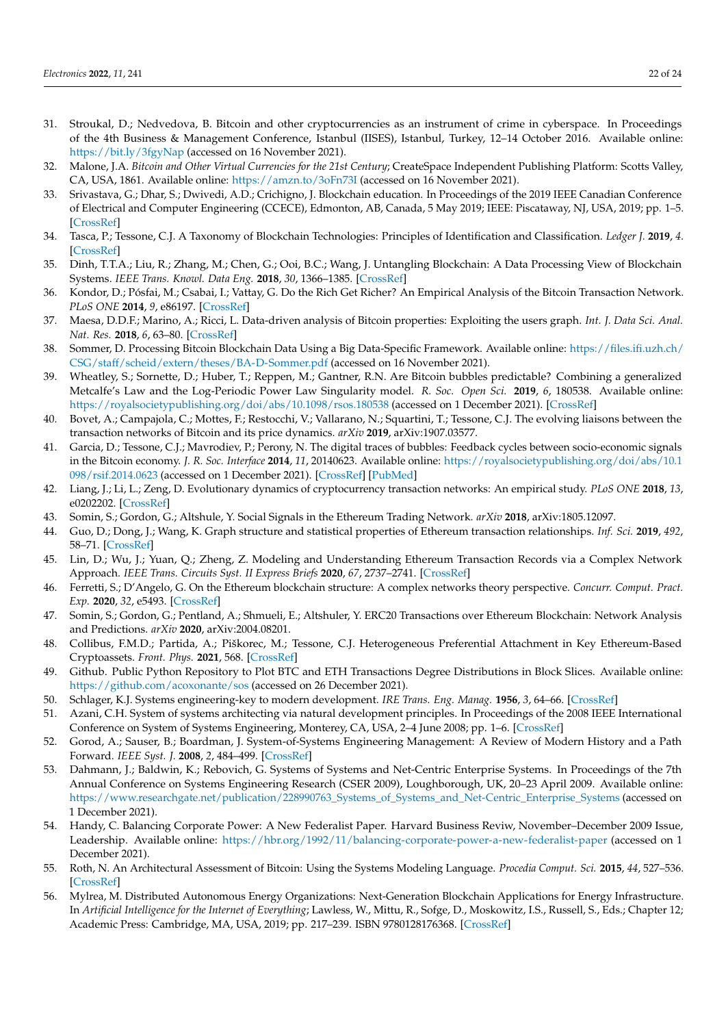- <span id="page-21-0"></span>31. Stroukal, D.; Nedvedova, B. Bitcoin and other cryptocurrencies as an instrument of crime in cyberspace. In Proceedings of the 4th Business & Management Conference, Istanbul (IISES), Istanbul, Turkey, 12–14 October 2016. Available online: <https://bit.ly/3fgyNap> (accessed on 16 November 2021).
- <span id="page-21-1"></span>32. Malone, J.A. *Bitcoin and Other Virtual Currencies for the 21st Century*; CreateSpace Independent Publishing Platform: Scotts Valley, CA, USA, 1861. Available online: <https://amzn.to/3oFn73I> (accessed on 16 November 2021).
- <span id="page-21-2"></span>33. Srivastava, G.; Dhar, S.; Dwivedi, A.D.; Crichigno, J. Blockchain education. In Proceedings of the 2019 IEEE Canadian Conference of Electrical and Computer Engineering (CCECE), Edmonton, AB, Canada, 5 May 2019; IEEE: Piscataway, NJ, USA, 2019; pp. 1–5. [\[CrossRef\]](http://dx.doi.org/10.1109/CCECE.2019.8861828)
- <span id="page-21-3"></span>34. Tasca, P.; Tessone, C.J. A Taxonomy of Blockchain Technologies: Principles of Identification and Classification. *Ledger J.* **2019**, *4*. [\[CrossRef\]](http://dx.doi.org/10.5195/ledger.2019.140)
- <span id="page-21-4"></span>35. Dinh, T.T.A.; Liu, R.; Zhang, M.; Chen, G.; Ooi, B.C.; Wang, J. Untangling Blockchain: A Data Processing View of Blockchain Systems. *IEEE Trans. Knowl. Data Eng.* **2018**, *30*, 1366–1385. [\[CrossRef\]](http://dx.doi.org/10.1109/TKDE.2017.2781227)
- <span id="page-21-5"></span>36. Kondor, D.; Pósfai, M.; Csabai, I.; Vattay, G. Do the Rich Get Richer? An Empirical Analysis of the Bitcoin Transaction Network. *PLoS ONE* **2014**, *9*, e86197. [\[CrossRef\]](http://dx.doi.org/10.1371/journal.pone.0086197)
- <span id="page-21-6"></span>37. Maesa, D.D.F.; Marino, A.; Ricci, L. Data-driven analysis of Bitcoin properties: Exploiting the users graph. *Int. J. Data Sci. Anal. Nat. Res.* **2018**, *6*, 63–80. [\[CrossRef\]](http://dx.doi.org/10.1007/s41060-017-0074-x)
- <span id="page-21-7"></span>38. Sommer, D. Processing Bitcoin Blockchain Data Using a Big Data-Specific Framework. Available online: [https://files.ifi.uzh.ch/](https://files.ifi.uzh.ch/CSG/staff/scheid/extern/theses/BA-D-Sommer.pdf) [CSG/staff/scheid/extern/theses/BA-D-Sommer.pdf](https://files.ifi.uzh.ch/CSG/staff/scheid/extern/theses/BA-D-Sommer.pdf) (accessed on 16 November 2021).
- <span id="page-21-8"></span>39. Wheatley, S.; Sornette, D.; Huber, T.; Reppen, M.; Gantner, R.N. Are Bitcoin bubbles predictable? Combining a generalized Metcalfe's Law and the Log-Periodic Power Law Singularity model. *R. Soc. Open Sci.* **2019**, *6*, 180538. Available online: <https://royalsocietypublishing.org/doi/abs/10.1098/rsos.180538> (accessed on 1 December 2021). [\[CrossRef\]](http://dx.doi.org/10.1098/rsos.180538)
- 40. Bovet, A.; Campajola, C.; Mottes, F.; Restocchi, V.; Vallarano, N.; Squartini, T.; Tessone, C.J. The evolving liaisons between the transaction networks of Bitcoin and its price dynamics. *arXiv* **2019**, arXiv:1907.03577.
- <span id="page-21-9"></span>41. Garcia, D.; Tessone, C.J.; Mavrodiev, P.; Perony, N. The digital traces of bubbles: Feedback cycles between socio-economic signals in the Bitcoin economy. *J. R. Soc. Interface* **2014**, *11*, 20140623. Available online: [https://royalsocietypublishing.org/doi/abs/10.1](https://royalsocietypublishing.org/doi/abs/10.1098/rsif.2014.0623) [098/rsif.2014.0623](https://royalsocietypublishing.org/doi/abs/10.1098/rsif.2014.0623) (accessed on 1 December 2021). [\[CrossRef\]](http://dx.doi.org/10.1098/rsif.2014.0623) [\[PubMed\]](http://www.ncbi.nlm.nih.gov/pubmed/25100315)
- <span id="page-21-10"></span>42. Liang, J.; Li, L.; Zeng, D. Evolutionary dynamics of cryptocurrency transaction networks: An empirical study. *PLoS ONE* **2018**, *13*, e0202202. [\[CrossRef\]](http://dx.doi.org/10.1371/journal.pone.0202202)
- <span id="page-21-11"></span>43. Somin, S.; Gordon, G.; Altshule, Y. Social Signals in the Ethereum Trading Network. *arXiv* **2018**, arXiv:1805.12097.
- <span id="page-21-12"></span>44. Guo, D.; Dong, J.; Wang, K. Graph structure and statistical properties of Ethereum transaction relationships. *Inf. Sci.* **2019**, *492*, 58–71. [\[CrossRef\]](http://dx.doi.org/10.1016/j.ins.2019.04.013)
- <span id="page-21-13"></span>45. Lin, D.; Wu, J.; Yuan, Q.; Zheng, Z. Modeling and Understanding Ethereum Transaction Records via a Complex Network Approach. *IEEE Trans. Circuits Syst. II Express Briefs* **2020**, *67*, 2737–2741. [\[CrossRef\]](http://dx.doi.org/10.1109/TCSII.2020.2968376)
- 46. Ferretti, S.; D'Angelo, G. On the Ethereum blockchain structure: A complex networks theory perspective. *Concurr. Comput. Pract. Exp.* **2020**, *32*, e5493. [\[CrossRef\]](http://dx.doi.org/10.1002/cpe.5493)
- <span id="page-21-14"></span>47. Somin, S.; Gordon, G.; Pentland, A.; Shmueli, E.; Altshuler, Y. ERC20 Transactions over Ethereum Blockchain: Network Analysis and Predictions. *arXiv* **2020**, arXiv:2004.08201.
- <span id="page-21-15"></span>48. Collibus, F.M.D.; Partida, A.; Piškorec, M.; Tessone, C.J. Heterogeneous Preferential Attachment in Key Ethereum-Based Cryptoassets. *Front. Phys.* **2021**, 568. [\[CrossRef\]](http://dx.doi.org/10.3389/fphy.2021.720708)
- <span id="page-21-16"></span>49. Github. Public Python Repository to Plot BTC and ETH Transactions Degree Distributions in Block Slices. Available online: <https://github.com/acoxonante/sos> (accessed on 26 December 2021).
- <span id="page-21-17"></span>50. Schlager, K.J. Systems engineering-key to modern development. *IRE Trans. Eng. Manag.* **1956**, *3*, 64–66. [\[CrossRef\]](http://dx.doi.org/10.1109/IRET-EM.1956.5007383)
- <span id="page-21-18"></span>51. Azani, C.H. System of systems architecting via natural development principles. In Proceedings of the 2008 IEEE International Conference on System of Systems Engineering, Monterey, CA, USA, 2–4 June 2008; pp. 1–6. [\[CrossRef\]](http://dx.doi.org/10.1109/SYSOSE.2008.4724137)
- <span id="page-21-19"></span>52. Gorod, A.; Sauser, B.; Boardman, J. System-of-Systems Engineering Management: A Review of Modern History and a Path Forward. *IEEE Syst. J.* **2008**, *2*, 484–499. [\[CrossRef\]](http://dx.doi.org/10.1109/JSYST.2008.2007163)
- <span id="page-21-20"></span>53. Dahmann, J.; Baldwin, K.; Rebovich, G. Systems of Systems and Net-Centric Enterprise Systems. In Proceedings of the 7th Annual Conference on Systems Engineering Research (CSER 2009), Loughborough, UK, 20–23 April 2009. Available online: [https://www.researchgate.net/publication/228990763\\_Systems\\_of\\_Systems\\_and\\_Net-Centric\\_Enterprise\\_Systems](https://www.researchgate.net/publication/228990763_Systems_of_Systems_and_Net-Centric_Enterprise_Systems) (accessed on 1 December 2021).
- <span id="page-21-21"></span>54. Handy, C. Balancing Corporate Power: A New Federalist Paper. Harvard Business Reviw, November–December 2009 Issue, Leadership. Available online: <https://hbr.org/1992/11/balancing-corporate-power-a-new-federalist-paper> (accessed on 1 December 2021).
- <span id="page-21-22"></span>55. Roth, N. An Architectural Assessment of Bitcoin: Using the Systems Modeling Language. *Procedia Comput. Sci.* **2015**, *44*, 527–536. [\[CrossRef\]](http://dx.doi.org/10.1016/j.procs.2015.03.066)
- <span id="page-21-23"></span>56. Mylrea, M. Distributed Autonomous Energy Organizations: Next-Generation Blockchain Applications for Energy Infrastructure. In *Artificial Intelligence for the Internet of Everything*; Lawless, W., Mittu, R., Sofge, D., Moskowitz, I.S., Russell, S., Eds.; Chapter 12; Academic Press: Cambridge, MA, USA, 2019; pp. 217–239. ISBN 9780128176368. [\[CrossRef\]](http://dx.doi.org/10.1016/B978-0-12-817636-8.00012-0)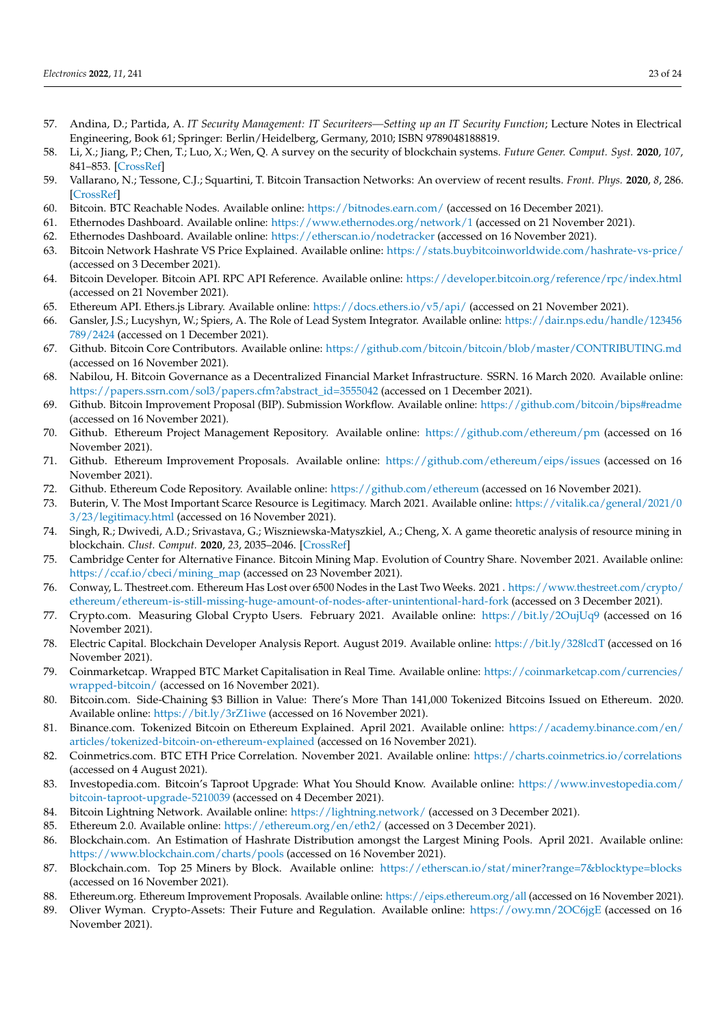- <span id="page-22-0"></span>57. Andina, D.; Partida, A. *IT Security Management: IT Securiteers—Setting up an IT Security Function*; Lecture Notes in Electrical Engineering, Book 61; Springer: Berlin/Heidelberg, Germany, 2010; ISBN 9789048188819.
- <span id="page-22-1"></span>58. Li, X.; Jiang, P.; Chen, T.; Luo, X.; Wen, Q. A survey on the security of blockchain systems. *Future Gener. Comput. Syst.* **2020**, *107*, 841–853. [\[CrossRef\]](http://dx.doi.org/10.1016/j.future.2017.08.020)
- <span id="page-22-2"></span>59. Vallarano, N.; Tessone, C.J.; Squartini, T. Bitcoin Transaction Networks: An overview of recent results. *Front. Phys.* **2020**, *8*, 286. [\[CrossRef\]](http://dx.doi.org/10.3389/fphy.2020.00286)
- <span id="page-22-3"></span>60. Bitcoin. BTC Reachable Nodes. Available online: <https://bitnodes.earn.com/> (accessed on 16 December 2021).
- <span id="page-22-4"></span>61. Ethernodes Dashboard. Available online: <https://www.ethernodes.org/network/1> (accessed on 21 November 2021).
- <span id="page-22-5"></span>62. Ethernodes Dashboard. Available online: <https://etherscan.io/nodetracker> (accessed on 16 November 2021).
- <span id="page-22-6"></span>63. Bitcoin Network Hashrate VS Price Explained. Available online: <https://stats.buybitcoinworldwide.com/hashrate-vs-price/> (accessed on 3 December 2021).
- <span id="page-22-7"></span>64. Bitcoin Developer. Bitcoin API. RPC API Reference. Available online: <https://developer.bitcoin.org/reference/rpc/index.html> (accessed on 21 November 2021).
- <span id="page-22-8"></span>65. Ethereum API. Ethers.js Library. Available online: <https://docs.ethers.io/v5/api/> (accessed on 21 November 2021).
- <span id="page-22-9"></span>66. Gansler, J.S.; Lucyshyn, W.; Spiers, A. The Role of Lead System Integrator. Available online: [https://dair.nps.edu/handle/123456]( https://dair.nps.edu/handle/123456789/2424) [789/2424]( https://dair.nps.edu/handle/123456789/2424) (accessed on 1 December 2021).
- <span id="page-22-10"></span>67. Github. Bitcoin Core Contributors. Available online: <https://github.com/bitcoin/bitcoin/blob/master/CONTRIBUTING.md> (accessed on 16 November 2021).
- <span id="page-22-11"></span>68. Nabilou, H. Bitcoin Governance as a Decentralized Financial Market Infrastructure. SSRN. 16 March 2020. Available online: [https://papers.ssrn.com/sol3/papers.cfm?abstract\\_id=3555042](https://papers.ssrn.com/sol3/papers.cfm?abstract_id=3555042) (accessed on 1 December 2021).
- <span id="page-22-12"></span>69. Github. Bitcoin Improvement Proposal (BIP). Submission Workflow. Available online: <https://github.com/bitcoin/bips#readme> (accessed on 16 November 2021).
- <span id="page-22-13"></span>70. Github. Ethereum Project Management Repository. Available online: <https://github.com/ethereum/pm> (accessed on 16 November 2021).
- <span id="page-22-14"></span>71. Github. Ethereum Improvement Proposals. Available online: <https://github.com/ethereum/eips/issues> (accessed on 16 November 2021).
- <span id="page-22-15"></span>72. Github. Ethereum Code Repository. Available online: <https://github.com/ethereum> (accessed on 16 November 2021).
- <span id="page-22-16"></span>73. Buterin, V. The Most Important Scarce Resource is Legitimacy. March 2021. Available online: [https://vitalik.ca/general/2021/0](https://vitalik.ca/general/2021/03/23/legitimacy.html) [3/23/legitimacy.html](https://vitalik.ca/general/2021/03/23/legitimacy.html) (accessed on 16 November 2021).
- <span id="page-22-17"></span>74. Singh, R.; Dwivedi, A.D.; Srivastava, G.; Wiszniewska-Matyszkiel, A.; Cheng, X. A game theoretic analysis of resource mining in blockchain. *Clust. Comput.* **2020**, *23*, 2035–2046. [\[CrossRef\]](http://dx.doi.org/10.1007/s10586-020-03046-w)
- <span id="page-22-18"></span>75. Cambridge Center for Alternative Finance. Bitcoin Mining Map. Evolution of Country Share. November 2021. Available online: [https://ccaf.io/cbeci/mining\\_map](https://ccaf.io/cbeci/mining_map) (accessed on 23 November 2021).
- <span id="page-22-19"></span>76. Conway, L. Thestreet.com. Ethereum Has Lost over 6500 Nodes in the Last Two Weeks. 2021 . [https://www.thestreet.com/crypto/](https://www.thestreet.com/crypto/ethereum/ethereum-is-still-missing-huge-amount-of-nodes-after-unintentional-hard-fork) [ethereum/ethereum-is-still-missing-huge-amount-of-nodes-after-unintentional-hard-fork](https://www.thestreet.com/crypto/ethereum/ethereum-is-still-missing-huge-amount-of-nodes-after-unintentional-hard-fork) (accessed on 3 December 2021).
- <span id="page-22-20"></span>77. Crypto.com. Measuring Global Crypto Users. February 2021. Available online: <https://bit.ly/2OujUq9> (accessed on 16 November 2021).
- <span id="page-22-21"></span>78. Electric Capital. Blockchain Developer Analysis Report. August 2019. Available online: <https://bit.ly/328lcdT> (accessed on 16 November 2021).
- <span id="page-22-22"></span>79. Coinmarketcap. Wrapped BTC Market Capitalisation in Real Time. Available online: [https://coinmarketcap.com/currencies/](https://coinmarketcap.com/currencies/wrapped-bitcoin/) [wrapped-bitcoin/](https://coinmarketcap.com/currencies/wrapped-bitcoin/) (accessed on 16 November 2021).
- <span id="page-22-23"></span>80. Bitcoin.com. Side-Chaining \$3 Billion in Value: There's More Than 141,000 Tokenized Bitcoins Issued on Ethereum. 2020. Available online: <https://bit.ly/3rZ1iwe> (accessed on 16 November 2021).
- <span id="page-22-24"></span>81. Binance.com. Tokenized Bitcoin on Ethereum Explained. April 2021. Available online: [https://academy.binance.com/en/](https://academy.binance.com/en/articles/tokenized-bitcoin-on-ethereum-explained) [articles/tokenized-bitcoin-on-ethereum-explained](https://academy.binance.com/en/articles/tokenized-bitcoin-on-ethereum-explained) (accessed on 16 November 2021).
- <span id="page-22-25"></span>82. Coinmetrics.com. BTC ETH Price Correlation. November 2021. Available online: <https://charts.coinmetrics.io/correlations> (accessed on 4 August 2021).
- <span id="page-22-26"></span>83. Investopedia.com. Bitcoin's Taproot Upgrade: What You Should Know. Available online: [https://www.investopedia.com/](https://www.investopedia.com/bitcoin-taproot-upgrade-5210039) [bitcoin-taproot-upgrade-5210039](https://www.investopedia.com/bitcoin-taproot-upgrade-5210039) (accessed on 4 December 2021).
- <span id="page-22-27"></span>84. Bitcoin Lightning Network. Available online: <https://lightning.network/> (accessed on 3 December 2021).
- <span id="page-22-28"></span>85. Ethereum 2.0. Available online: <https://ethereum.org/en/eth2/> (accessed on 3 December 2021).
- <span id="page-22-29"></span>86. Blockchain.com. An Estimation of Hashrate Distribution amongst the Largest Mining Pools. April 2021. Available online: <https://www.blockchain.com/charts/pools> (accessed on 16 November 2021).
- <span id="page-22-30"></span>87. Blockchain.com. Top 25 Miners by Block. Available online: <https://etherscan.io/stat/miner?range=7&blocktype=blocks> (accessed on 16 November 2021).
- <span id="page-22-31"></span>88. Ethereum.org. Ethereum Improvement Proposals. Available online: <https://eips.ethereum.org/all> (accessed on 16 November 2021).
- <span id="page-22-32"></span>89. Oliver Wyman. Crypto-Assets: Their Future and Regulation. Available online: <https://owy.mn/2OC6jgE> (accessed on 16 November 2021).